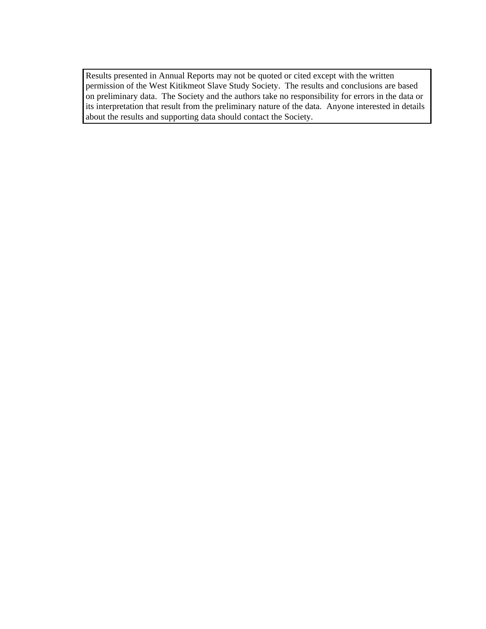Results presented in Annual Reports may not be quoted or cited except with the written permission of the West Kitikmeot Slave Study Society. The results and conclusions are based on preliminary data. The Society and the authors take no responsibility for errors in the data or its interpretation that result from the preliminary nature of the data. Anyone interested in details about the results and supporting data should contact the Society.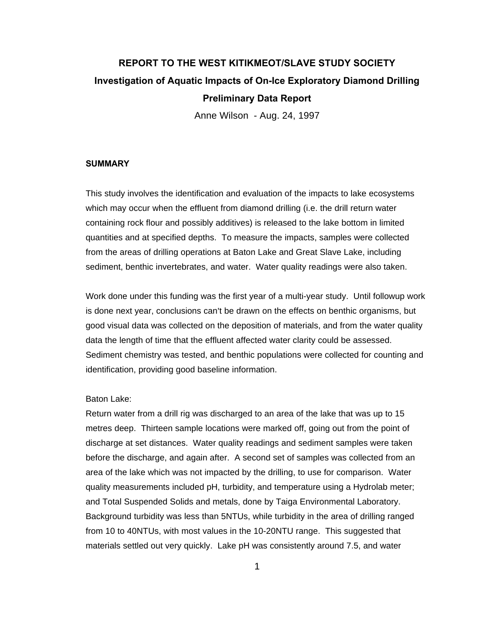# **REPORT TO THE WEST KITIKMEOT/SLAVE STUDY SOCIETY Investigation of Aquatic Impacts of On-Ice Exploratory Diamond Drilling Preliminary Data Report**

Anne Wilson - Aug. 24, 1997

#### **SUMMARY**

This study involves the identification and evaluation of the impacts to lake ecosystems which may occur when the effluent from diamond drilling (i.e. the drill return water containing rock flour and possibly additives) is released to the lake bottom in limited quantities and at specified depths. To measure the impacts, samples were collected from the areas of drilling operations at Baton Lake and Great Slave Lake, including sediment, benthic invertebrates, and water. Water quality readings were also taken.

Work done under this funding was the first year of a multi-year study. Until followup work is done next year, conclusions can't be drawn on the effects on benthic organisms, but good visual data was collected on the deposition of materials, and from the water quality data the length of time that the effluent affected water clarity could be assessed. Sediment chemistry was tested, and benthic populations were collected for counting and identification, providing good baseline information.

### Baton Lake:

Return water from a drill rig was discharged to an area of the lake that was up to 15 metres deep. Thirteen sample locations were marked off, going out from the point of discharge at set distances. Water quality readings and sediment samples were taken before the discharge, and again after. A second set of samples was collected from an area of the lake which was not impacted by the drilling, to use for comparison. Water quality measurements included pH, turbidity, and temperature using a Hydrolab meter; and Total Suspended Solids and metals, done by Taiga Environmental Laboratory. Background turbidity was less than 5NTUs, while turbidity in the area of drilling ranged from 10 to 40NTUs, with most values in the 10-20NTU range. This suggested that materials settled out very quickly. Lake pH was consistently around 7.5, and water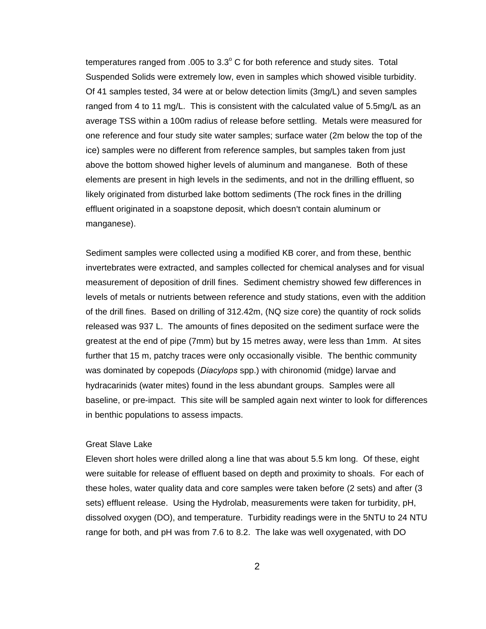temperatures ranged from .005 to  $3.3^{\circ}$  C for both reference and study sites. Total Suspended Solids were extremely low, even in samples which showed visible turbidity. Of 41 samples tested, 34 were at or below detection limits (3mg/L) and seven samples ranged from 4 to 11 mg/L. This is consistent with the calculated value of 5.5mg/L as an average TSS within a 100m radius of release before settling. Metals were measured for one reference and four study site water samples; surface water (2m below the top of the ice) samples were no different from reference samples, but samples taken from just above the bottom showed higher levels of aluminum and manganese. Both of these elements are present in high levels in the sediments, and not in the drilling effluent, so likely originated from disturbed lake bottom sediments (The rock fines in the drilling effluent originated in a soapstone deposit, which doesn't contain aluminum or manganese).

Sediment samples were collected using a modified KB corer, and from these, benthic invertebrates were extracted, and samples collected for chemical analyses and for visual measurement of deposition of drill fines. Sediment chemistry showed few differences in levels of metals or nutrients between reference and study stations, even with the addition of the drill fines. Based on drilling of 312.42m, (NQ size core) the quantity of rock solids released was 937 L. The amounts of fines deposited on the sediment surface were the greatest at the end of pipe (7mm) but by 15 metres away, were less than 1mm. At sites further that 15 m, patchy traces were only occasionally visible. The benthic community was dominated by copepods (*Diacylops* spp.) with chironomid (midge) larvae and hydracarinids (water mites) found in the less abundant groups. Samples were all baseline, or pre-impact. This site will be sampled again next winter to look for differences in benthic populations to assess impacts.

#### Great Slave Lake

Eleven short holes were drilled along a line that was about 5.5 km long. Of these, eight were suitable for release of effluent based on depth and proximity to shoals. For each of these holes, water quality data and core samples were taken before (2 sets) and after (3 sets) effluent release. Using the Hydrolab, measurements were taken for turbidity, pH, dissolved oxygen (DO), and temperature. Turbidity readings were in the 5NTU to 24 NTU range for both, and pH was from 7.6 to 8.2. The lake was well oxygenated, with DO

2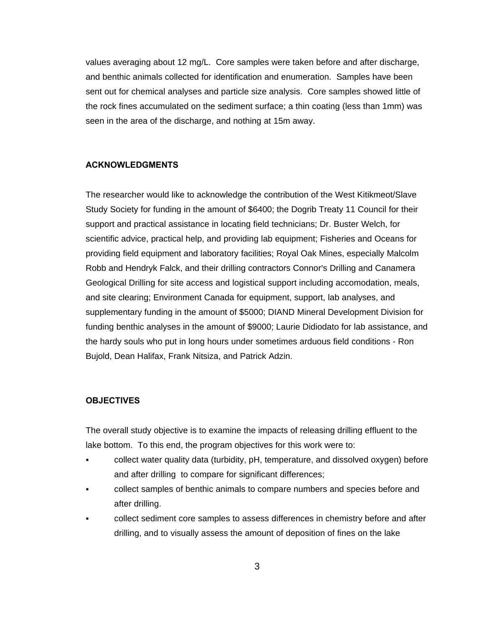values averaging about 12 mg/L. Core samples were taken before and after discharge, and benthic animals collected for identification and enumeration. Samples have been sent out for chemical analyses and particle size analysis. Core samples showed little of the rock fines accumulated on the sediment surface; a thin coating (less than 1mm) was seen in the area of the discharge, and nothing at 15m away.

#### **ACKNOWLEDGMENTS**

The researcher would like to acknowledge the contribution of the West Kitikmeot/Slave Study Society for funding in the amount of \$6400; the Dogrib Treaty 11 Council for their support and practical assistance in locating field technicians; Dr. Buster Welch, for scientific advice, practical help, and providing lab equipment; Fisheries and Oceans for providing field equipment and laboratory facilities; Royal Oak Mines, especially Malcolm Robb and Hendryk Falck, and their drilling contractors Connor's Drilling and Canamera Geological Drilling for site access and logistical support including accomodation, meals, and site clearing; Environment Canada for equipment, support, lab analyses, and supplementary funding in the amount of \$5000; DIAND Mineral Development Division for funding benthic analyses in the amount of \$9000; Laurie Didiodato for lab assistance, and the hardy souls who put in long hours under sometimes arduous field conditions - Ron Bujold, Dean Halifax, Frank Nitsiza, and Patrick Adzin.

#### **OBJECTIVES**

The overall study objective is to examine the impacts of releasing drilling effluent to the lake bottom. To this end, the program objectives for this work were to:

- collect water quality data (turbidity, pH, temperature, and dissolved oxygen) before and after drilling to compare for significant differences;
- collect samples of benthic animals to compare numbers and species before and after drilling.
- collect sediment core samples to assess differences in chemistry before and after drilling, and to visually assess the amount of deposition of fines on the lake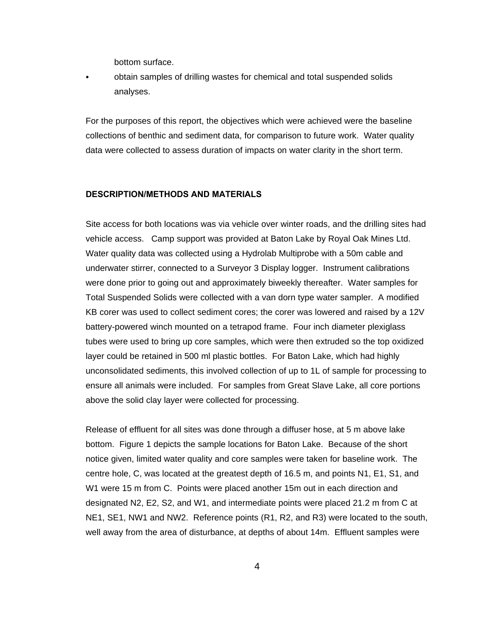bottom surface.

obtain samples of drilling wastes for chemical and total suspended solids analyses.

For the purposes of this report, the objectives which were achieved were the baseline collections of benthic and sediment data, for comparison to future work. Water quality data were collected to assess duration of impacts on water clarity in the short term.

# **DESCRIPTION/METHODS AND MATERIALS**

Site access for both locations was via vehicle over winter roads, and the drilling sites had vehicle access. Camp support was provided at Baton Lake by Royal Oak Mines Ltd. Water quality data was collected using a Hydrolab Multiprobe with a 50m cable and underwater stirrer, connected to a Surveyor 3 Display logger. Instrument calibrations were done prior to going out and approximately biweekly thereafter. Water samples for Total Suspended Solids were collected with a van dorn type water sampler. A modified KB corer was used to collect sediment cores; the corer was lowered and raised by a 12V battery-powered winch mounted on a tetrapod frame. Four inch diameter plexiglass tubes were used to bring up core samples, which were then extruded so the top oxidized layer could be retained in 500 ml plastic bottles. For Baton Lake, which had highly unconsolidated sediments, this involved collection of up to 1L of sample for processing to ensure all animals were included. For samples from Great Slave Lake, all core portions above the solid clay layer were collected for processing.

Release of effluent for all sites was done through a diffuser hose, at 5 m above lake bottom. Figure 1 depicts the sample locations for Baton Lake. Because of the short notice given, limited water quality and core samples were taken for baseline work. The centre hole, C, was located at the greatest depth of 16.5 m, and points N1, E1, S1, and W1 were 15 m from C. Points were placed another 15m out in each direction and designated N2, E2, S2, and W1, and intermediate points were placed 21.2 m from C at NE1, SE1, NW1 and NW2. Reference points (R1, R2, and R3) were located to the south, well away from the area of disturbance, at depths of about 14m. Effluent samples were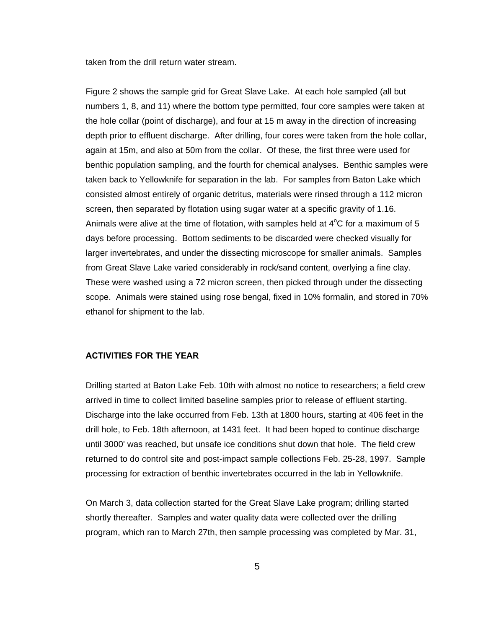taken from the drill return water stream.

Figure 2 shows the sample grid for Great Slave Lake. At each hole sampled (all but numbers 1, 8, and 11) where the bottom type permitted, four core samples were taken at the hole collar (point of discharge), and four at 15 m away in the direction of increasing depth prior to effluent discharge. After drilling, four cores were taken from the hole collar, again at 15m, and also at 50m from the collar. Of these, the first three were used for benthic population sampling, and the fourth for chemical analyses. Benthic samples were taken back to Yellowknife for separation in the lab. For samples from Baton Lake which consisted almost entirely of organic detritus, materials were rinsed through a 112 micron screen, then separated by flotation using sugar water at a specific gravity of 1.16. Animals were alive at the time of flotation, with samples held at  $4^{\circ}$ C for a maximum of 5 days before processing. Bottom sediments to be discarded were checked visually for larger invertebrates, and under the dissecting microscope for smaller animals. Samples from Great Slave Lake varied considerably in rock/sand content, overlying a fine clay. These were washed using a 72 micron screen, then picked through under the dissecting scope. Animals were stained using rose bengal, fixed in 10% formalin, and stored in 70% ethanol for shipment to the lab.

## **ACTIVITIES FOR THE YEAR**

Drilling started at Baton Lake Feb. 10th with almost no notice to researchers; a field crew arrived in time to collect limited baseline samples prior to release of effluent starting. Discharge into the lake occurred from Feb. 13th at 1800 hours, starting at 406 feet in the drill hole, to Feb. 18th afternoon, at 1431 feet. It had been hoped to continue discharge until 3000' was reached, but unsafe ice conditions shut down that hole. The field crew returned to do control site and post-impact sample collections Feb. 25-28, 1997. Sample processing for extraction of benthic invertebrates occurred in the lab in Yellowknife.

On March 3, data collection started for the Great Slave Lake program; drilling started shortly thereafter. Samples and water quality data were collected over the drilling program, which ran to March 27th, then sample processing was completed by Mar. 31,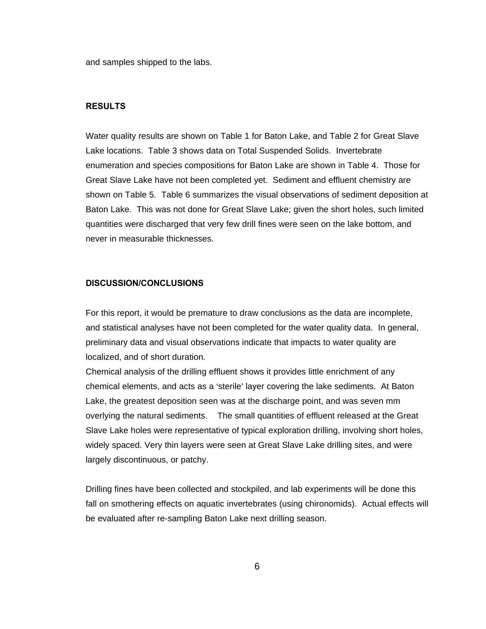and samples shipped to the labs.

### **RESULTS**

Water quality results are shown on Table 1 for Baton Lake, and Table 2 for Great Slave Lake locations. Table 3 shows data on Total Suspended Solids. Invertebrate enumeration and species compositions for Baton Lake are shown in Table 4. Those for Great Slave Lake have not been completed yet. Sediment and effluent chemistry are shown on Table 5. Table 6 summarizes the visual observations of sediment deposition at Baton Lake. This was not done for Great Slave Lake; given the short holes, such limited quantities were discharged that very few drill fines were seen on the lake bottom, and never in measurable thicknesses.

#### **DISCUSSION/CONCLUSIONS**

For this report, it would be premature to draw conclusions as the data are incomplete, and statistical analyses have not been completed for the water quality data. In general, preliminary data and visual observations indicate that impacts to water quality are localized, and of short duration.

Chemical analysis of the drilling effluent shows it provides little enrichment of any chemical elements, and acts as a 'sterile' layer covering the lake sediments. At Baton Lake, the greatest deposition seen was at the discharge point, and was seven mm overlying the natural sediments. The small quantities of effluent released at the Great Slave Lake holes were representative of typical exploration drilling, involving short holes, widely spaced. Very thin layers were seen at Great Slave Lake drilling sites, and were largely discontinuous, or patchy.

Drilling fines have been collected and stockpiled, and lab experiments will be done this fall on smothering effects on aquatic invertebrates (using chironomids). Actual effects will be evaluated after re-sampling Baton Lake next drilling season.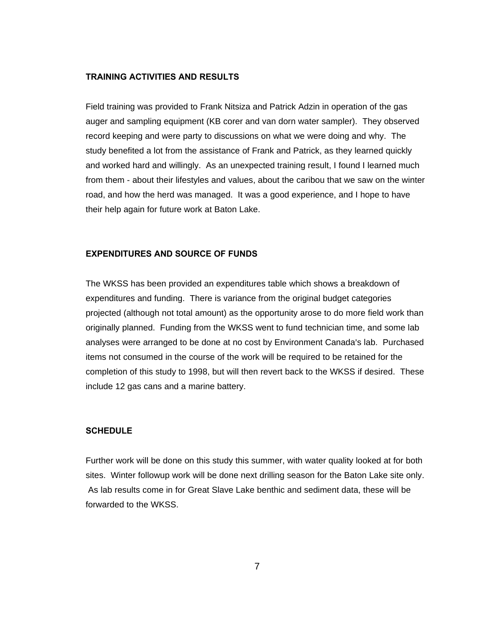#### **TRAINING ACTIVITIES AND RESULTS**

Field training was provided to Frank Nitsiza and Patrick Adzin in operation of the gas auger and sampling equipment (KB corer and van dorn water sampler). They observed record keeping and were party to discussions on what we were doing and why. The study benefited a lot from the assistance of Frank and Patrick, as they learned quickly and worked hard and willingly. As an unexpected training result, I found I learned much from them - about their lifestyles and values, about the caribou that we saw on the winter road, and how the herd was managed. It was a good experience, and I hope to have their help again for future work at Baton Lake.

#### **EXPENDITURES AND SOURCE OF FUNDS**

The WKSS has been provided an expenditures table which shows a breakdown of expenditures and funding. There is variance from the original budget categories projected (although not total amount) as the opportunity arose to do more field work than originally planned. Funding from the WKSS went to fund technician time, and some lab analyses were arranged to be done at no cost by Environment Canada's lab. Purchased items not consumed in the course of the work will be required to be retained for the completion of this study to 1998, but will then revert back to the WKSS if desired. These include 12 gas cans and a marine battery.

#### **SCHEDULE**

Further work will be done on this study this summer, with water quality looked at for both sites. Winter followup work will be done next drilling season for the Baton Lake site only. As lab results come in for Great Slave Lake benthic and sediment data, these will be forwarded to the WKSS.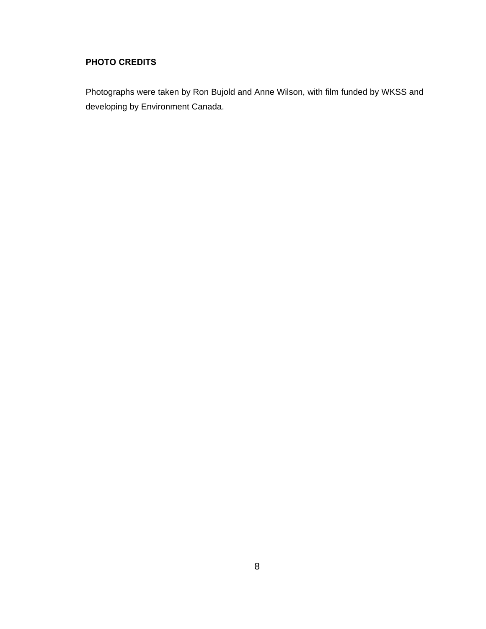# **PHOTO CREDITS**

Photographs were taken by Ron Bujold and Anne Wilson, with film funded by WKSS and developing by Environment Canada.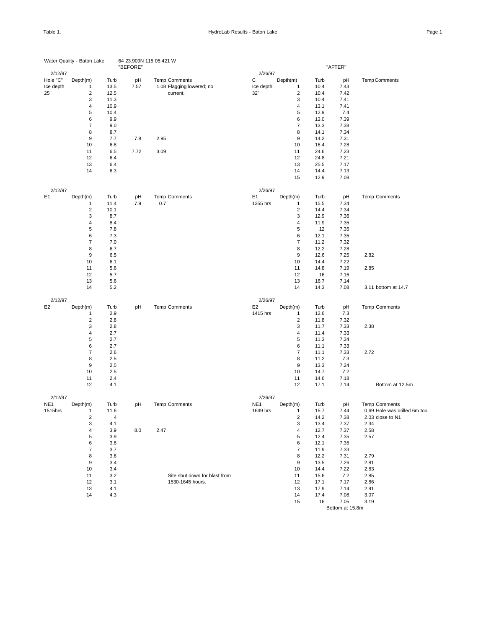|                | Water Quality - Baton Lake |      | 64 23.909N 115 05.421 W<br>"BEFORE" |                               |                 |                         |      | "AFTER" |                              |
|----------------|----------------------------|------|-------------------------------------|-------------------------------|-----------------|-------------------------|------|---------|------------------------------|
| 2/12/97        |                            |      |                                     |                               | 2/26/97         |                         |      |         |                              |
| Hole "C"       | Depth(m)                   | Turb | pH                                  | <b>Temp Comments</b>          | С               | Depth(m)                | Turb | pH      | Temp Comments                |
| Ice depth      | 1                          | 13.5 | 7.57                                | 1.08 Flagging lowered; no     | Ice depth       | $\mathbf{1}$            | 10.4 | 7.43    |                              |
| 25"            | $\overline{\mathbf{c}}$    | 12.5 |                                     | current.                      | 32"             | $\sqrt{2}$              | 10.4 | 7.42    |                              |
|                | 3                          | 11.3 |                                     |                               |                 | 3                       | 10.4 | 7.41    |                              |
|                | $\overline{\mathbf{4}}$    | 10.9 |                                     |                               |                 | $\overline{4}$          | 13.1 | 7.41    |                              |
|                | 5                          | 10.4 |                                     |                               |                 | 5                       | 12.9 | 7.4     |                              |
|                | 6                          | 9.9  |                                     |                               |                 | 6                       | 13.0 | 7.39    |                              |
|                | $\overline{7}$             | 9.0  |                                     |                               |                 | $\overline{7}$          | 13.3 | 7.38    |                              |
|                | 8                          | 8.7  |                                     |                               |                 | 8                       | 14.1 | 7.34    |                              |
|                | 9                          | 7.7  | 7.8                                 | 2.95                          |                 | 9                       | 14.2 | 7.31    |                              |
|                | 10                         | 6.8  |                                     |                               |                 | 10                      | 16.4 | 7.28    |                              |
|                | 11                         | 6.5  | 7.72                                | 3.09                          |                 | 11                      | 24.6 | 7.23    |                              |
|                | 12                         | 6.4  |                                     |                               |                 | 12                      | 24.8 | 7.21    |                              |
|                | 13                         | 6.4  |                                     |                               |                 | 13                      | 25.5 | 7.17    |                              |
|                | 14                         | 6.3  |                                     |                               |                 | 14                      | 14.4 | 7.13    |                              |
|                |                            |      |                                     |                               |                 | 15                      | 12.9 | 7.08    |                              |
| 2/12/97        |                            |      |                                     |                               | 2/26/97         |                         |      |         |                              |
| E <sub>1</sub> | Depth(m)                   | Turb | pH                                  | <b>Temp Comments</b>          | E <sub>1</sub>  | Depth(m)                | Turb | pH      | <b>Temp Comments</b>         |
|                | 1                          | 11.4 | 7.9                                 | 0.7                           | 1355 hrs        | 1                       | 15.5 | 7.34    |                              |
|                | $\overline{c}$             | 10.1 |                                     |                               |                 | $\overline{c}$          | 14.4 | 7.34    |                              |
|                | 3                          | 8.7  |                                     |                               |                 | 3                       | 12.9 | 7.36    |                              |
|                | 4                          | 8.4  |                                     |                               |                 | $\overline{4}$          | 11.9 | 7.35    |                              |
|                | 5                          | 7.8  |                                     |                               |                 | 5                       | 12   | 7.35    |                              |
|                | 6                          | 7.3  |                                     |                               |                 | 6                       | 12.1 | 7.35    |                              |
|                | $\overline{7}$             | 7.0  |                                     |                               |                 | $\overline{7}$          | 11.2 | 7.32    |                              |
|                | 8                          | 6.7  |                                     |                               |                 | 8                       | 12.2 | 7.28    |                              |
|                | 9                          | 6.5  |                                     |                               |                 | 9                       | 12.6 | 7.25    | 2.82                         |
|                | 10                         | 6.1  |                                     |                               |                 | 10                      | 14.4 | 7.22    |                              |
|                | 11                         | 5.6  |                                     |                               |                 | 11                      | 14.8 | 7.19    | 2.85                         |
|                | 12                         | 5.7  |                                     |                               |                 | 12                      | 16   | 7.16    |                              |
|                | 13                         | 5.6  |                                     |                               |                 | 13                      | 16.7 | 7.14    |                              |
|                | 14                         | 5.2  |                                     |                               |                 | 14                      | 14.3 | 7.08    | 3.11 bottom at 14.7          |
|                |                            |      |                                     |                               |                 |                         |      |         |                              |
| 2/12/97        |                            |      |                                     |                               | 2/26/97         |                         |      |         |                              |
| E <sub>2</sub> | Depth(m)                   | Turb | pH                                  | <b>Temp Comments</b>          | E <sub>2</sub>  | Depth(m)                | Turb | pH      | <b>Temp Comments</b>         |
|                | 1                          | 2.9  |                                     |                               | 1415 hrs        | 1                       | 12.6 | 7.3     |                              |
|                | $\overline{\mathbf{c}}$    | 2.8  |                                     |                               |                 | $\mathbf 2$             | 11.8 | 7.32    |                              |
|                | 3                          | 2.8  |                                     |                               |                 | 3                       | 11.7 | 7.33    | 2.38                         |
|                | 4                          | 2.7  |                                     |                               |                 | $\overline{\mathbf{4}}$ | 11.4 | 7.33    |                              |
|                | 5                          | 2.7  |                                     |                               |                 | 5                       | 11.3 | 7.34    |                              |
|                | 6                          | 2.7  |                                     |                               |                 | 6                       | 11.1 | 7.33    |                              |
|                | $\overline{\mathbf{7}}$    | 2.6  |                                     |                               |                 | $\overline{\mathbf{7}}$ | 11.1 | 7.33    | 2.72                         |
|                | 8                          | 2.5  |                                     |                               |                 | 8                       | 11.2 | 7.3     |                              |
|                | 9                          | 2.5  |                                     |                               |                 | 9                       | 13.3 | 7.24    |                              |
|                | 10                         | 2.5  |                                     |                               |                 | 10                      | 14.7 | 7.2     |                              |
|                | 11                         | 2.4  |                                     |                               |                 | 11<br>12                | 14.6 | 7.18    |                              |
|                | 12                         | 4.1  |                                     |                               |                 |                         | 17.1 | 7.14    | Bottom at 12.5m              |
| 2/12/97        |                            |      |                                     |                               | 2/26/97         |                         |      |         |                              |
| NE1            | Depth(m)                   | Turb | pH                                  | <b>Temp Comments</b>          | NE <sub>1</sub> | Depth(m)                | Turb | рH      | <b>Temp Comments</b>         |
| 1515hrs        | 1                          | 11.6 |                                     |                               | 1649 hrs        | $\mathbf{1}$            | 15.7 | 7.44    | 0.69 Hole was drilled 6m too |
|                | $\overline{\mathbf{c}}$    | 4    |                                     |                               |                 | $\overline{\mathbf{c}}$ | 14.2 | 7.38    | 2.03 close to N1             |
|                | 3                          | 4.1  |                                     |                               |                 | 3                       | 13.4 | 7.37    | 2.34                         |
|                | $\overline{\mathbf{4}}$    | 3.9  | 8.0                                 | 2.47                          |                 | $\overline{4}$          | 12.7 | 7.37    | 2.58                         |
|                | 5                          | 3.9  |                                     |                               |                 | 5                       | 12.4 | 7.35    | 2.57                         |
|                | 6                          | 3.8  |                                     |                               |                 | 6                       | 12.1 | 7.35    |                              |
|                | $\overline{7}$             | 3.7  |                                     |                               |                 | $\boldsymbol{7}$        | 11.9 | 7.33    |                              |
|                | 8                          | 3.6  |                                     |                               |                 | 8                       | 12.2 | 7.31    | 2.79                         |
|                | 9                          | 3.4  |                                     |                               |                 | 9                       | 13.5 | 7.26    | 2.81                         |
|                | 10                         | 3.4  |                                     |                               |                 | 10                      | 14.4 | 7.22    | 2.83                         |
|                | 11                         | 3.2  |                                     | Site shut down for blast from |                 | 11                      | 15.6 | 7.2     | 2.85                         |
|                | 12                         | 3.1  |                                     | 1530-1645 hours.              |                 | 12                      | 17.1 | 7.17    | 2.86                         |
|                | 13                         | 4.1  |                                     |                               |                 | 13                      | 17.9 | 7.14    | 2.91                         |
|                | 14                         | 4.3  |                                     |                               |                 | 14                      | 17.4 | 7.08    | 3.07                         |
|                |                            |      |                                     |                               |                 | 15                      | 16   | 7.05    | 3.19                         |

Bottom at 15.8m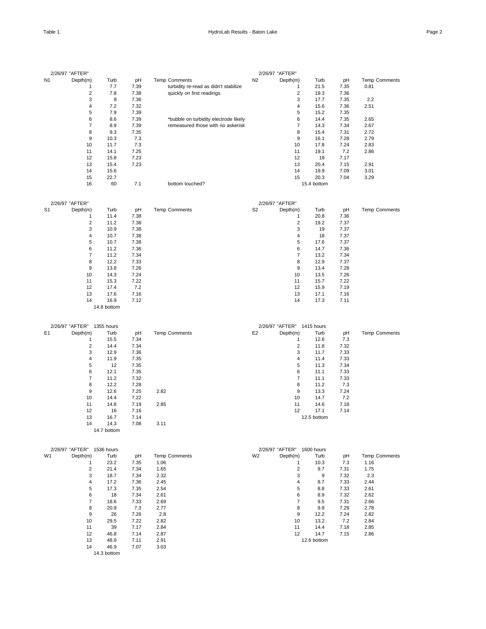|                | 2/26/97 "AFTER"         |             |      |                                       |                | 2/26/97 "AFTER"         |             |      |                      |
|----------------|-------------------------|-------------|------|---------------------------------------|----------------|-------------------------|-------------|------|----------------------|
| N <sub>1</sub> | Depth(m)                | Turb        | pH   | <b>Temp Comments</b>                  | N <sub>2</sub> | Depth(m)                | Turb        | pH   | <b>Temp Comments</b> |
|                | 1                       | 7.7         | 7.39 | turbidity re-read as didn't stabilize |                | 1                       | 21.5        | 7.35 | 0.81                 |
|                | $\overline{\mathbf{c}}$ | 7.8         | 7.38 | quickly on first readings.            |                | $\overline{\mathbf{c}}$ | 19.3        | 7.36 |                      |
|                | 3                       | 8           | 7.36 |                                       |                | 3                       | 17.7        | 7.35 | 2.2                  |
|                | $\overline{\mathbf{4}}$ | 7.2         | 7.32 |                                       |                | $\overline{4}$          | 15.6        | 7.36 | 2.51                 |
|                | 5                       | 7.9         | 7.39 |                                       |                | 5                       | 15.2        | 7.35 |                      |
|                | 6                       | 8.6         | 7.39 | *bubble on turbidity electrode likely |                | 6                       | 14.4        | 7.35 | 2.65                 |
|                | $\overline{7}$          | 8.9         | 7.39 | remeasured those with no askerisk     |                | $\overline{7}$          | 14.3        | 7.34 | 2.67                 |
|                | 8                       | 9.3         | 7.35 |                                       |                | 8                       | 15.4        | 7.31 | 2.72                 |
|                | 9                       | 10.3        | 7.3  |                                       |                | 9                       | 16.1        | 7.28 | 2.79                 |
|                | 10                      | 11.7        | 7.3  |                                       |                | 10                      | 17.8        | 7.24 | 2.83                 |
|                | 11                      | 14.1        | 7.25 |                                       |                | 11                      | 19.1        | 7.2  | 2.86                 |
|                | 12                      | 15.8        | 7.23 |                                       |                | 12                      | 19          | 7.17 |                      |
|                | 13                      | 15.4        | 7.23 |                                       |                | 13                      | 20.4        | 7.15 | 2.91                 |
|                | 14                      | 15.6        |      |                                       |                | 14                      | 19.9        | 7.09 | 3.01                 |
|                | 15                      | 22.7        |      |                                       |                | 15                      | 20.3        | 7.04 | 3.29                 |
|                | 16                      | 60          | 7.1  | bottom touched?                       |                |                         | 15.4 bottom |      |                      |
|                | 2/26/97 "AFTER"         |             |      |                                       |                | 2/26/97 "AFTER"         |             |      |                      |
| S <sub>1</sub> | Depth(m)                | Turb        | pH   | Temp Comments                         | S <sub>2</sub> | Depth(m)                | Turb        | pH   | <b>Temp Comments</b> |
|                | 1                       | 11.4        | 7.38 |                                       |                | 1                       | 20.8        | 7.36 |                      |
|                | $\overline{2}$          | 11.2        | 7.38 |                                       |                | $\overline{2}$          | 19.2        | 7.37 |                      |
|                | 3                       | 10.9        | 7.38 |                                       |                | 3                       | 19          | 7.37 |                      |
|                | $\overline{\mathbf{4}}$ | 10.7        | 7.38 |                                       |                | $\overline{4}$          | 18          | 7.37 |                      |
|                | 5                       | 10.7        | 7.38 |                                       |                | 5                       | 17.6        | 7.37 |                      |
|                | 6                       | 11.2        | 7.36 |                                       |                | 6                       | 14.7        | 7.36 |                      |
|                | $\overline{7}$          | 11.2        | 7.34 |                                       |                | $\overline{7}$          | 13.2        | 7.34 |                      |
|                | 8                       | 12.2        | 7.33 |                                       |                | 8                       | 12.9        | 7.37 |                      |
|                | 9                       | 13.8        | 7.26 |                                       |                | 9                       | 13.4        | 7.28 |                      |
|                | 10                      | 14.3        | 7.24 |                                       |                | 10                      | 13.5        | 7.26 |                      |
|                | 11                      | 15.3        | 7.22 |                                       |                | 11                      | 15.7        | 7.22 |                      |
|                | 12                      | 17.4        | 7.2  |                                       |                | 12                      | 15.9        | 7.19 |                      |
|                | 13                      | 17.6        | 7.16 |                                       |                | 13                      | 17.1        | 7.16 |                      |
|                | 14                      | 16.9        | 7.12 |                                       |                | 14                      | 17.3        | 7.11 |                      |
|                |                         | 14.8 bottom |      |                                       |                |                         |             |      |                      |

|                | 2/26/97 "AFTER" | 1355 hours  |      |                      |                | 2/26/97 "AFTER" 1415 hours |             |      |                      |
|----------------|-----------------|-------------|------|----------------------|----------------|----------------------------|-------------|------|----------------------|
| E <sub>1</sub> | Depth(m)        | Turb        | pH   | <b>Temp Comments</b> | E <sub>2</sub> | Depth(m)                   | Turb        | pH   | <b>Temp Comments</b> |
|                |                 | 15.5        | 7.34 |                      |                |                            | 12.6        | 7.3  |                      |
|                | 2               | 14.4        | 7.34 |                      |                | 2                          | 11.8        | 7.32 |                      |
|                | 3               | 12.9        | 7.36 |                      |                | 3                          | 11.7        | 7.33 |                      |
|                | 4               | 11.9        | 7.35 |                      |                | 4                          | 11.4        | 7.33 |                      |
|                | 5               | 12          | 7.35 |                      |                | 5                          | 11.3        | 7.34 |                      |
|                | 6               | 12.1        | 7.35 |                      |                | 6                          | 11.1        | 7.33 |                      |
|                | 7               | 11.2        | 7.32 |                      |                | $\overline{7}$             | 11.1        | 7.33 |                      |
|                | 8               | 12.2        | 7.28 |                      |                | 8                          | 11.2        | 7.3  |                      |
|                | 9               | 12.6        | 7.25 | 2.82                 |                | 9                          | 13.3        | 7.24 |                      |
|                | 10              | 14.4        | 7.22 |                      |                | 10                         | 14.7        | 7.2  |                      |
|                | 11              | 14.8        | 7.19 | 2.85                 |                | 11                         | 14.6        | 7.18 |                      |
|                | 12              | 16          | 7.16 |                      |                | 12                         | 17.1        | 7.14 |                      |
|                | 13              | 16.7        | 7.14 |                      |                |                            | 12.5 bottom |      |                      |
|                | 14              | 14.3        | 7.08 | 3.11                 |                |                            |             |      |                      |
|                |                 | 14.7 bottom |      |                      |                |                            |             |      |                      |

|                | 2/26/97 "AFTER" | 1536 hours  |      |                      |    | 2/26/97 "AFTER" | 1600 hours  |      |                      |
|----------------|-----------------|-------------|------|----------------------|----|-----------------|-------------|------|----------------------|
| W <sub>1</sub> | Depth(m)        | Turb        | pH   | <b>Temp Comments</b> | W2 | Depth(m)        | Turb        | pH   | <b>Temp Comments</b> |
|                |                 | 23.2        | 7.35 | 1.06                 |    |                 | 10.3        | 7.3  | 1.16                 |
|                | 2               | 21.4        | 7.34 | 1.65                 |    | $\overline{2}$  | 9.7         | 7.31 | 1.75                 |
|                | 3               | 18.7        | 7.34 | 2.32                 |    | 3               | 9           | 7.32 | 2.3                  |
|                | $\overline{4}$  | 17.2        | 7.36 | 2.45                 |    | 4               | 8.7         | 7.33 | 2.44                 |
|                | 5               | 17.3        | 7.35 | 2.54                 |    | 5               | 8.8         | 7.33 | 2.61                 |
|                | 6               | 18          | 7.34 | 2.61                 |    | 6               | 8.9         | 7.32 | 2.62                 |
|                |                 | 18.6        | 7.33 | 2.69                 |    | 7               | 9.5         | 7.31 | 2.66                 |
|                | 8               | 20.9        | 7.3  | 2.77                 |    | 8               | 9.9         | 7.29 | 2.78                 |
|                | 9               | 26          | 7.26 | 2.8                  |    | 9               | 12.2        | 7.24 | 2.82                 |
|                | 10              | 29.5        | 7.22 | 2.82                 |    | 10              | 13.2        | 7.2  | 2.84                 |
|                | 11              | 39          | 7.17 | 2.84                 |    | 11              | 14.4        | 7.18 | 2.85                 |
|                | 12              | 46.8        | 7.14 | 2.87                 |    | 12              | 14.7        | 7.15 | 2.86                 |
|                | 13              | 48.9        | 7.11 | 2.91                 |    |                 | 12.6 bottom |      |                      |
|                | 14              | 46.9        | 7.07 | 3.03                 |    |                 |             |      |                      |
|                |                 | 14.3 bottom |      |                      |    |                 |             |      |                      |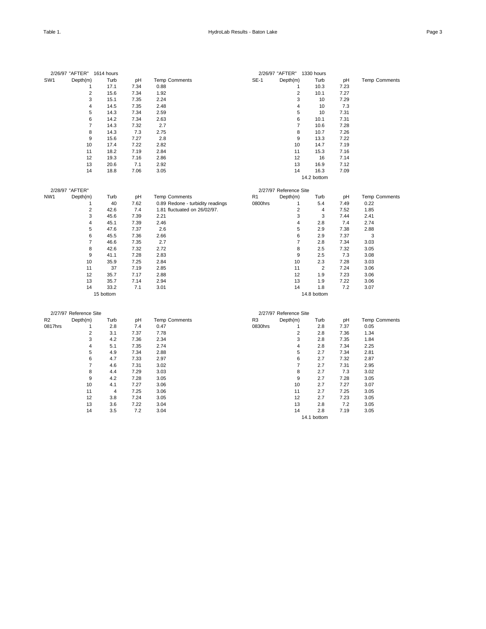|                 | 2/26/97 "AFTER" 1614 hours |           |      |                                  |                | 2/26/97 "AFTER" 1330 hours |                |      |                      |
|-----------------|----------------------------|-----------|------|----------------------------------|----------------|----------------------------|----------------|------|----------------------|
| SW <sub>1</sub> | Depth(m)                   | Turb      | pH   | Temp Comments                    | $SE-1$         | Depth(m)                   | Turb           | pH   | <b>Temp Comments</b> |
|                 | $\mathbf{1}$               | 17.1      | 7.34 | 0.88                             |                | $\mathbf{1}$               | 10.3           | 7.23 |                      |
|                 | $\overline{\mathbf{c}}$    | 15.6      | 7.34 | 1.92                             |                | $\overline{2}$             | 10.1           | 7.27 |                      |
|                 | 3                          | 15.1      | 7.35 | 2.24                             |                | 3                          | 10             | 7.29 |                      |
|                 | $\overline{4}$             | 14.5      | 7.35 | 2.48                             |                | 4                          | 10             | 7.3  |                      |
|                 | 5                          | 14.3      | 7.34 | 2.59                             |                | 5                          | 10             | 7.31 |                      |
|                 | 6                          | 14.2      | 7.34 | 2.63                             |                | 6                          | 10.1           | 7.31 |                      |
|                 | $\overline{7}$             | 14.3      | 7.32 | 2.7                              |                | $\overline{7}$             | 10.6           | 7.28 |                      |
|                 | 8                          | 14.3      | 7.3  | 2.75                             |                | 8                          | 10.7           | 7.26 |                      |
|                 | 9                          | 15.6      | 7.27 | 2.8                              |                | 9                          | 13.3           | 7.22 |                      |
|                 | 10                         | 17.4      | 7.22 | 2.82                             |                | 10                         | 14.7           | 7.19 |                      |
|                 | 11                         | 18.2      | 7.19 | 2.84                             |                | 11                         | 15.3           | 7.16 |                      |
|                 | 12                         | 19.3      | 7.16 | 2.86                             |                | 12                         | 16             | 7.14 |                      |
|                 | 13                         | 20.6      | 7.1  | 2.92                             |                | 13                         | 16.9           | 7.12 |                      |
|                 | 14                         | 18.8      | 7.06 | 3.05                             |                | 14                         | 16.3           | 7.09 |                      |
|                 |                            |           |      |                                  |                |                            | 14.2 bottom    |      |                      |
|                 | 2/28/97 "AFTER"            |           |      |                                  |                | 2/27/97 Reference Site     |                |      |                      |
| NW <sub>1</sub> | Depth(m)                   | Turb      | pH   | <b>Temp Comments</b>             | R <sub>1</sub> | Depth(m)                   | Turb           | pH   | <b>Temp Comments</b> |
|                 | $\mathbf{1}$               | 40        | 7.62 | 0.89 Redone - turbidity readings | 0800hrs        | 1                          | 5.4            | 7.49 | 0.22                 |
|                 | $\overline{2}$             | 42.6      | 7.4  | 1.81 fluctuated on 26/02/97.     |                | $\overline{2}$             | $\overline{4}$ | 7.52 | 1.85                 |
|                 | 3                          | 45.6      | 7.39 | 2.21                             |                | 3                          | 3              | 7.44 | 2.41                 |
|                 | $\overline{4}$             | 45.1      | 7.39 | 2.46                             |                | 4                          | 2.8            | 7.4  | 2.74                 |
|                 | 5                          | 47.6      | 7.37 | 2.6                              |                | 5                          | 2.9            | 7.38 | 2.88                 |
|                 | 6                          | 45.5      | 7.36 | 2.66                             |                | 6                          | 2.9            | 7.37 | 3                    |
|                 | $\overline{7}$             | 46.6      | 7.35 | 2.7                              |                | $\overline{7}$             | 2.8            | 7.34 | 3.03                 |
|                 | 8                          | 42.6      | 7.32 | 2.72                             |                | 8                          | 2.5            | 7.32 | 3.05                 |
|                 | 9                          | 41.1      | 7.28 | 2.83                             |                | 9                          | 2.5            | 7.3  | 3.08                 |
|                 | 10                         | 35.9      | 7.25 | 2.84                             |                | 10                         | 2.3            | 7.28 | 3.03                 |
|                 | 11                         | 37        | 7.19 | 2.85                             |                | 11                         | $\overline{2}$ | 7.24 | 3.06                 |
|                 | 12                         | 35.7      | 7.17 | 2.88                             |                | 12                         | 1.9            | 7.23 | 3.06                 |
|                 | 13                         | 35.7      | 7.14 | 2.94                             |                | 13                         | 1.9            | 7.22 | 3.06                 |
|                 | 14                         | 33.2      | 7.1  | 3.01                             |                | 14                         | 1.8            | 7.2  | 3.07                 |
|                 |                            | 15 bottom |      |                                  |                |                            | 14.8 bottom    |      |                      |
|                 | 2/27/97 Reference Site     |           |      |                                  |                | 2/27/97 Reference Site     |                |      |                      |
| R <sub>2</sub>  | Depth(m)                   | Turb      | pH   | Temp Comments                    | R <sub>3</sub> | Depth(m)                   | Turb           | pH   | <b>Temp Comments</b> |
| 0817hrs         | $\mathbf{1}$               | 2.8       | 7.4  | 0.47                             | 0830hrs        | $\mathbf{1}$               | 2.8            | 7.37 | 0.05                 |
|                 | $\overline{2}$             | 3.1       | 7.37 | 7.78                             |                | $\overline{2}$             | 2.8            | 7.36 | 1.34                 |
|                 | 3                          | 4.2       | 7.36 | 2.34                             |                | 3                          | 2.8            | 7.35 | 1.84                 |
|                 | $\overline{4}$             | 5.1       | 7.35 | 2.74                             |                | 4                          | 2.8            | 7.34 | 2.25                 |
|                 |                            |           |      |                                  |                |                            |                |      |                      |

 4.9 7.34 2.88 5 2.7 7.34 2.81 4.7 7.33 2.97 6 2.7 7.32 2.87 4.6 7.31 3.02 7 2.7 7.31 2.95 4.4 7.29 3.03 8 2.7 7.3 3.02 4.2 7.28 3.05 9 2.7 7.28 3.05 4.1 7.27 3.06 10 2.7 7.27 3.07 4 7.25 3.06 11 2.7 7.25 3.05 3.8 7.24 3.05 12 2.7 7.23 3.05 3.6 7.22 3.04 13 2.8 7.2 3.05 3.5 7.2 3.04 14 2.8 7.19 3.05

14.1 bottom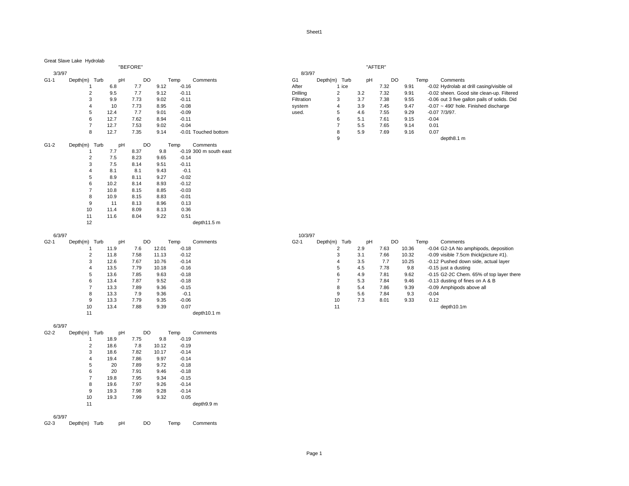#### Great Slave Lake Hydrolab

#### "BEFORE" "AFTER"

| 3/3/97 |                |      |      |      |         |                          | 8/3/97         |               |                |     |      |      |         |                      |
|--------|----------------|------|------|------|---------|--------------------------|----------------|---------------|----------------|-----|------|------|---------|----------------------|
| $G1-1$ | Depth(m) Turb  | pH   | DO   |      | Temp    | Comments                 | G <sub>1</sub> | Depth(m) Turb |                | pH  | DO   |      | Temp    | Comments             |
|        |                | 6.8  | 7.7  | 9.12 | $-0.16$ |                          | After          |               | 1 ice          |     | 7.32 | 9.91 |         | -0.02 Hydrolab a     |
|        | $\overline{2}$ | 9.5  | 7.7  | 9.12 | $-0.11$ |                          | Drilling       |               | $\overline{2}$ | 3.2 | 7.32 | 9.91 |         | -0.02 sheen. Go      |
|        | 3              | 9.9  | 7.73 | 9.02 | $-0.11$ |                          | Filtration     |               | 3              | 3.7 | 7.38 | 9.55 |         | $-0.06$ out 3 five g |
|        | 4              | 10   | 7.73 | 8.95 | $-0.08$ |                          | system         |               | 4              | 3.9 | 7.45 | 9.47 |         | $-0.07 - 490$ ' hole |
|        | 5              | 12.4 | 7.7  | 9.01 | $-0.09$ |                          | used.          |               | 5              | 4.6 | 7.55 | 9.29 |         | $-0.07$ $7/3/97$ .   |
|        | 6              | 12.7 | 7.62 | 8.94 | $-0.11$ |                          |                |               | 6              | 5.1 | 7.61 | 9.15 | $-0.04$ |                      |
|        | $\overline{7}$ | 12.7 | 7.53 | 9.02 | $-0.04$ |                          |                |               | $\overline{7}$ | 5.5 | 7.65 | 9.14 | 0.01    |                      |
|        | 8              | 12.7 | 7.35 | 9.14 |         | -0.01 Touched bottom     |                |               | 8              | 5.9 | 7.69 | 9.16 | 0.07    |                      |
|        |                |      |      |      |         |                          |                |               | 9              |     |      |      |         | depth8.1 m           |
| $G1-2$ | Depth(m) Turb  | pH   | DO   |      | Temp    | Comments                 |                |               |                |     |      |      |         |                      |
|        |                | 7.7  | 8.37 | 9.8  |         | $-0.19$ 300 m south east |                |               |                |     |      |      |         |                      |
|        | $\overline{2}$ | 7.5  | 8.23 | 9.65 | $-0.14$ |                          |                |               |                |     |      |      |         |                      |
|        | 3              | 7.5  | 8.14 | 9.51 | $-0.11$ |                          |                |               |                |     |      |      |         |                      |
|        | 4              | 8.1  | 8.1  | 9.43 | $-0.1$  |                          |                |               |                |     |      |      |         |                      |
|        | 5              | 8.9  | 8.11 | 9.27 | $-0.02$ |                          |                |               |                |     |      |      |         |                      |
|        | 6              | 10.2 | 8.14 | 8.93 | $-0.12$ |                          |                |               |                |     |      |      |         |                      |
|        | $\overline{7}$ | 10.8 | 8.15 | 8.85 | $-0.03$ |                          |                |               |                |     |      |      |         |                      |
|        | 8              | 10.9 | 8.15 | 8.83 | $-0.01$ |                          |                |               |                |     |      |      |         |                      |
|        | 9              | 11   | 8.13 | 8.96 | 0.13    |                          |                |               |                |     |      |      |         |                      |
|        | 10             | 11.4 | 8.09 | 8.13 | 0.36    |                          |                |               |                |     |      |      |         |                      |
|        | 11             | 11.6 | 8.04 | 9.22 | 0.51    |                          |                |               |                |     |      |      |         |                      |
|        | 12             |      |      |      |         | depth11.5 m              |                |               |                |     |      |      |         |                      |

| 6/3/97 |          |      |      |      |       |         |             | 10/3/97 |                  |     |      |       |         |                     |
|--------|----------|------|------|------|-------|---------|-------------|---------|------------------|-----|------|-------|---------|---------------------|
| $G2-1$ | Depth(m) | Turb | pH   | DO   |       | Temp    | Comments    | $G2-1$  | Turb<br>Depth(m) | pH  | DO   |       | Temp    | Comments            |
|        |          |      | 11.9 | 7.6  | 12.01 | $-0.18$ |             |         | 2                | 2.9 | 7.63 | 10.36 |         | -0.04 G2-1A No      |
|        | ◠        |      | 11.8 | 7.58 | 11.13 | $-0.12$ |             |         | 3                | 3.1 | 7.66 | 10.32 |         | -0.09 visible 7.5   |
|        | 3        |      | 12.6 | 7.67 | 10.76 | $-0.14$ |             |         | 4                | 3.5 | 7.7  | 10.25 |         | -0.12 Pushed do     |
|        | 4        |      | 13.5 | 7.79 | 10.18 | $-0.16$ |             |         | 5                | 4.5 | 7.78 | 9.8   |         | $-0.15$ just a dust |
|        | 5        |      | 13.6 | 7.85 | 9.63  | $-0.18$ |             |         | 6                | 4.9 | 7.81 | 9.62  |         | -0.15 G2-2C Che     |
|        | 6        |      | 13.4 | 7.87 | 9.52  | $-0.18$ |             |         |                  | 5.3 | 7.84 | 9.46  |         | -0.13 dusting of    |
|        |          |      | 13.3 | 7.89 | 9.36  | $-0.15$ |             |         | 8                | 5.4 | 7.86 | 9.39  |         | -0.09 Amphipods     |
|        | 8        |      | 13.3 | 7.9  | 9.36  | $-0.1$  |             |         | 9                | 5.6 | 7.84 | 9.3   | $-0.04$ |                     |
|        | 9        |      | 13.3 | 7.79 | 9.35  | $-0.06$ |             |         | 10               | 7.3 | 8.01 | 9.33  | 0.12    |                     |
|        | 10       |      | 13.4 | 7.88 | 9.39  | 0.07    |             |         | 11               |     |      |       |         | depth10.1r          |
|        | 11       |      |      |      |       |         | depth10.1 m |         |                  |     |      |       |         |                     |
|        |          |      |      |      |       |         |             |         |                  |     |      |       |         |                     |

|      |      |      |      |         |                | 8/3/97         |          |       |     |      |      |                                              |
|------|------|------|------|---------|----------------|----------------|----------|-------|-----|------|------|----------------------------------------------|
| Turb | pH   | DO   |      | Temp    | Comments       | G <sub>1</sub> | Depth(m) | Turb  | pH  | DO   | Temp | Comments                                     |
|      | 6.8  | 7.7  | 9.12 | $-0.16$ |                | After          |          | 1 ice |     | 7.32 | 9.91 | -0.02 Hydrolab at drill casing/visible oil   |
|      | 9.5  | 7.7  | 9.12 | $-0.11$ |                | Drillina       |          | ے     | 3.2 | 7.32 | 9.91 | -0.02 sheen. Good site clean-up. Filtered    |
|      | 9.9  | 7.73 | 9.02 | $-0.11$ |                | Filtration     |          | 3     | 3.7 | 7.38 | 9.55 | -0.06 out 3 five gallon pails of solids. Did |
|      | 10   | 7.73 | 8.95 | $-0.08$ |                | system         |          | 4     | 3.9 | 7.45 | 9.47 | $-0.07$ ~ 490' hole. Finished discharge      |
|      | 12.4 | 7.7  | 9.01 | $-0.09$ |                | used.          |          | 5     | 4.6 | 7.55 | 9.29 | $-0.07$ $7/3/97$ .                           |
|      | 12.7 | 7.62 | 8.94 | $-0.11$ |                |                |          | 6     | 5.1 | 7.61 | 9.15 | $-0.04$                                      |
|      | 12.7 | 7.53 | 9.02 | $-0.04$ |                |                |          |       | 5.5 | 7.65 | 9.14 | 0.01                                         |
|      | 12.7 | 7.35 | 9.14 | $-0.01$ | Touched bottom |                |          |       | 5.9 | 7.69 | 9.16 | 0.07                                         |
|      |      |      |      |         |                |                |          |       |     |      |      | depth8.1 m                                   |

| 0, 0, 0, 0 |          |      |      |      |       |         |          | 19797  |                  |     |      |       |      |                                          |
|------------|----------|------|------|------|-------|---------|----------|--------|------------------|-----|------|-------|------|------------------------------------------|
| $G2-1$     | Depth(m) | Turb | pH   | DO   |       | Temp    | Comments | $G2-1$ | Turb<br>Depth(m) | pН  | DO   |       | Temp | Comments                                 |
|            |          |      | 11.9 | 7.6  | 12.01 | $-0.18$ |          |        |                  | 2.9 | 7.63 | 10.36 |      | -0.04 G2-1A No amphipods, deposition     |
|            |          |      | 11.8 | 7.58 | 11.13 | $-0.12$ |          |        | د                | 3.1 | 7.66 | 10.32 |      | $-0.09$ visible 7.5cm thick(picture #1). |
|            |          |      | 12.6 | 7.67 | 10.76 | $-0.14$ |          |        |                  | 3.5 | 7.7  | 10.25 |      | -0.12 Pushed down side, actual layer     |
|            |          |      | 13.5 | 7.79 | 10.18 | $-0.16$ |          |        | .5               | 4.5 | 7.78 | 9.8   |      | -0.15 just a dusting                     |
|            |          |      | 13.6 | 7.85 | 9.63  | $-0.18$ |          |        | 6                | 4.9 | 7.81 | 9.62  |      | -0.15 G2-2C Chem. 65% of top layer there |
|            |          |      | 13.4 | 7.87 | 9.52  | $-0.18$ |          |        |                  | 5.3 | 7.84 | 9.46  |      | -0.13 dusting of fines on A & B          |
|            |          |      | 13.3 | 7.89 | 9.36  | $-0.15$ |          |        | 8                | 5.4 | 7.86 | 9.39  |      | -0.09 Amphipods above all                |
|            |          |      | 13.3 | 7.9  | 9.36  | $-0.1$  |          |        | 9                | 5.6 | 7.84 | 9.3   |      | $-0.04$                                  |
|            |          |      | 13.3 | 7.79 | 9.35  | $-0.06$ |          |        | 10               | 7.3 | 8.01 | 9.33  |      | 0.12                                     |
|            | 10       |      | 13.4 | 7.88 | 9.39  | 0.07    |          |        |                  |     |      |       |      | depth10.1m                               |

#### 6/3/97

| G2-2   | Depth(m) | Turb | pH   |      | DO    | Temp    | Comments   |
|--------|----------|------|------|------|-------|---------|------------|
|        | 1        |      | 18.9 | 7.75 | 9.8   | $-0.19$ |            |
|        | 2        |      | 18.6 | 7.8  | 10.12 | $-0.19$ |            |
|        | 3        |      | 18.6 | 7.82 | 10.17 | $-0.14$ |            |
|        | 4        |      | 19.4 | 7.86 | 9.97  | $-0.14$ |            |
|        | 5        |      | 20   | 7.89 | 9.72  | $-0.18$ |            |
|        | 6        |      | 20   | 7.91 | 9.46  | $-0.18$ |            |
|        | 7        |      | 19.8 | 7.95 | 9.34  | $-0.15$ |            |
|        | 8        |      | 19.6 | 7.97 | 9.26  | $-0.14$ |            |
|        | 9        |      | 19.3 | 7.98 | 9.28  | $-0.14$ |            |
|        | 10       |      | 19.3 | 7.99 | 9.32  | 0.05    |            |
|        | 11       |      |      |      |       |         | depth9.9 m |
| 6/3/97 |          |      |      |      |       |         |            |

G2-3 Depth(m) Turb pH DO Temp Comments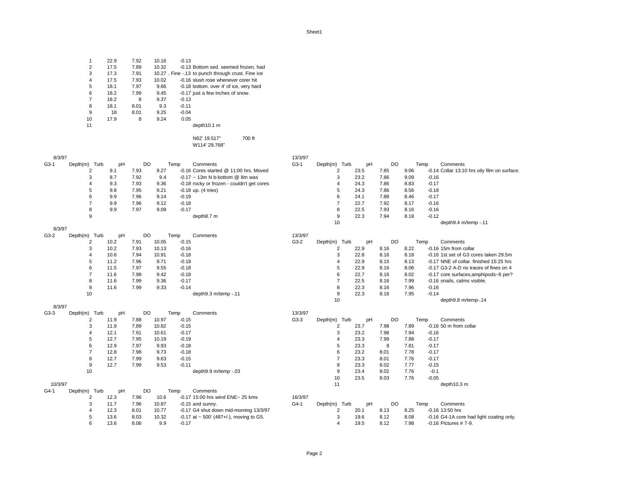|                | 22.9 | 7.92 | 10.16 | $-0.13$                                            |
|----------------|------|------|-------|----------------------------------------------------|
| $\overline{2}$ | 17.5 | 7.89 | 10.32 | -0.13 Bottom sed. seemed frozen, had               |
| 3              | 17.3 | 7.91 |       | 10.27 . Fine -.13 to punch through crust. Fine ice |
| $\overline{4}$ | 17.5 | 7.93 | 10.02 | -0.16 slush rose whenever corer hit                |
| 5              | 18.1 | 7.97 | 9.66  | -0.18 bottom, over 4' of ice, very hard            |
| 6              | 18.2 | 7.99 | 9.45  | -0.17 just a few inches of snow.                   |
| $\overline{7}$ | 18.2 | 8    | 9.37  | $-0.13$                                            |
| 8              | 18.1 | 8.01 | 9.3   | $-0.11$                                            |
| 9              | 18   | 8.01 | 9.25  | $-0.04$                                            |
| 10             | 17.9 | 8    | 9.24  | 0.05                                               |
| 11             |      |      |       | depth10.1 m                                        |
|                |      |      |       |                                                    |

N62' 19.517" 700 ft W114' 29.768"

| 8/3/97  |                |      |           |       |         |                                                | 13/3/97 |                |      |           |      |         |                                              |
|---------|----------------|------|-----------|-------|---------|------------------------------------------------|---------|----------------|------|-----------|------|---------|----------------------------------------------|
| $G3-1$  | Depth(m) Turb  | pH   | DO        |       | Temp    | Comments                                       | $G3-1$  | Depth(m) Turb  | pH   | DO        |      | Temp    | Comments                                     |
|         | 2              | 9.1  | 7.93      | 9.27  |         | -0.16 Cores started @ 11:00 hrs. Moved         |         | 2              | 23.5 | 7.85      | 9.06 |         | -0.14 Collar 13:10 hrs oily film on surface. |
|         | 3              | 8.7  | 7.92      | 9.4   |         | $-0.17$ ~ 13m N b bottom @ 8m was              |         | 3              | 23.2 | 7.86      | 9.09 | $-0.16$ |                                              |
|         | 4              | 9.3  | 7.93      | 9.36  |         | -0.18 rocky or frozen - couldn't get cores     |         |                | 24.3 | 7.86      | 8.83 | $-0.17$ |                                              |
|         | 5              | 9.8  | 7.95      | 9.21  |         | $-0.18$ up. $(4$ tries)                        |         |                | 24.3 | 7.86      | 8.56 | $-0.18$ |                                              |
|         | 6              | 9.9  | 7.96      | 9.14  | $-0.19$ |                                                |         | 6              | 24.1 | 7.88      | 8.46 | $-0.17$ |                                              |
|         | $\overline{7}$ | 9.9  | 7.96      | 9.12  | $-0.18$ |                                                |         |                | 22.7 | 7.92      | 8.17 | $-0.16$ |                                              |
|         | 8              | 9.9  | 7.97      | 9.09  | $-0.17$ |                                                |         |                | 22.5 | 7.93      | 8.16 | $-0.16$ |                                              |
|         | 9              |      |           |       |         | depth8.7 m                                     |         | 9              | 22.3 | 7.94      | 8.18 | $-0.12$ |                                              |
|         |                |      |           |       |         |                                                |         | 10             |      |           |      |         | depth9.4 m/temp -.11                         |
| 8/3/97  |                |      |           |       |         |                                                |         |                |      |           |      |         |                                              |
| $G3-2$  | Depth(m) Turb  | pH   | DO        |       | Temp    | Comments                                       | 13/3/97 |                |      |           |      |         |                                              |
|         | 2              | 10.2 | 7.91      | 10.05 | $-0.15$ |                                                | $G3-2$  | Depth(m) Turb  | pH   | <b>DO</b> |      | Temp    | Comments                                     |
|         | 3              | 10.2 | 7.93      | 10.13 | $-0.16$ |                                                |         | $\overline{2}$ | 22.9 | 8.16      | 8.22 |         | -0.16 15m from collar                        |
|         | $\overline{4}$ | 10.6 | 7.94      | 10.91 | $-0.18$ |                                                |         | 3              | 22.8 | 8.16      | 8.18 |         | -0.16 1st set of G3 cores taken 29.5m        |
|         | 5              | 11.2 | 7.96      | 9.71  | $-0.18$ |                                                |         | 4              | 22.9 | 8.15      | 8.13 |         | -0.17 NNE of collar. finished 15:25 hrs      |
|         | 6              | 11.5 | 7.97      | 9.55  | $-0.18$ |                                                |         |                | 22.9 | 8.16      | 8.06 |         | -0.17 G3-2 A-D no traces of fines on 4       |
|         | $\overline{7}$ | 11.6 | 7.98      | 9.42  | $-0.18$ |                                                |         | 6              | 22.7 | 8.16      | 8.02 |         | -0.17 core surfaces, amphipods~6 per?        |
|         | 8              | 11.6 | 7.99      | 9.36  | $-0.17$ |                                                |         |                | 22.5 | 8.16      | 7.99 |         | -0.16 snails, calms visible.                 |
|         | 9              | 11.6 | 7.99      | 9.33  | $-0.14$ |                                                |         | 8              | 22.3 | 8.16      | 7.96 | $-0.16$ |                                              |
|         | 10             |      |           |       |         | depth9.3 m/temp -.11                           |         | 9              | 22.3 | 8.16      | 7.95 | $-0.14$ |                                              |
|         |                |      |           |       |         |                                                |         | 10             |      |           |      |         | depth9.8 m/temp-.14                          |
| 8/3/97  |                |      |           |       |         |                                                |         |                |      |           |      |         |                                              |
| $G3-3$  | Depth(m) Turb  | pH   | <b>DO</b> |       | Temp    | Comments                                       | 13/3/97 |                |      |           |      |         |                                              |
|         | 2              | 11.9 | 7.88      | 10.97 | $-0.15$ |                                                | $G3-3$  | Depth(m) Turb  | pH   | <b>DO</b> |      | Temp    | Comments                                     |
|         | 3              | 11.9 | 7.89      | 10.82 | $-0.15$ |                                                |         | 2              | 23.7 | 7.98      | 7.89 |         | -0.16 50 m from collar                       |
|         | 4              | 12.1 | 7.91      | 10.61 | $-0.17$ |                                                |         | 3              | 23.2 | 7.98      | 7.94 | $-0.16$ |                                              |
|         | 5              | 12.7 | 7.95      | 10.19 | $-0.19$ |                                                |         |                | 23.3 | 7.99      | 7.88 | $-0.17$ |                                              |
|         | 6              | 12.9 | 7.97      | 9.93  | $-0.18$ |                                                |         |                | 23.3 | 8         | 7.81 | $-0.17$ |                                              |
|         | $\overline{7}$ | 12.8 | 7.98      | 9.73  | $-0.18$ |                                                |         | 6              | 23.2 | 8.01      | 7.78 | $-0.17$ |                                              |
|         | 8              | 12.7 | 7.99      | 9.63  | $-0.15$ |                                                |         |                | 23.3 | 8.01      | 7.76 | $-0.17$ |                                              |
|         | 9              | 12.7 | 7.99      | 9.53  | $-0.11$ |                                                |         |                | 23.3 | 8.02      | 7.77 | $-0.15$ |                                              |
|         | 10             |      |           |       |         | depth9.9 m/temp -.03                           |         | 9              | 23.4 | 8.02      | 7.76 | $-0.1$  |                                              |
|         |                |      |           |       |         |                                                |         | 10             | 23.5 | 8.03      | 7.76 | $-0.05$ |                                              |
| 10/3/97 |                |      |           |       |         |                                                |         | 11             |      |           |      |         | depth10.3 m                                  |
| $G4-1$  | Depth(m) Turb  | pH   | <b>DO</b> |       | Temp    | Comments                                       |         |                |      |           |      |         |                                              |
|         | 2              | 12.3 | 7.96      | 10.6  |         | -0.17 15:00 hrs wind ENE~ 25 kms               | 16/3/97 |                |      |           |      |         |                                              |
|         | 3              | 11.7 | 7.96      | 10.87 |         | $-0.15$ and sunny.                             | $G4-1$  | Depth(m) Turb  | pH   | <b>DO</b> |      | Temp    | Comments                                     |
|         | 4              | 12.3 | 8.01      | 10.77 |         | -0.17 G4 shut down mid-morning 13/3/97         |         | 2              | 20.1 | 8.13      | 8.25 |         | -0.16 13:50 hrs                              |
|         | 5              | 13.6 | 8.03      | 10.32 |         | $-0.17$ at $\sim$ 500' (487+/-), moving to G5. |         | 3              | 19.6 | 8.12      | 8.08 |         | -0.16 G4-1A core had light coating only.     |
|         | 6              | 13.6 | 8.06      | 9.9   | $-0.17$ |                                                |         | 4              | 19.5 | 8.12      | 7.98 |         | $-0.16$ Pictures # 7-9.                      |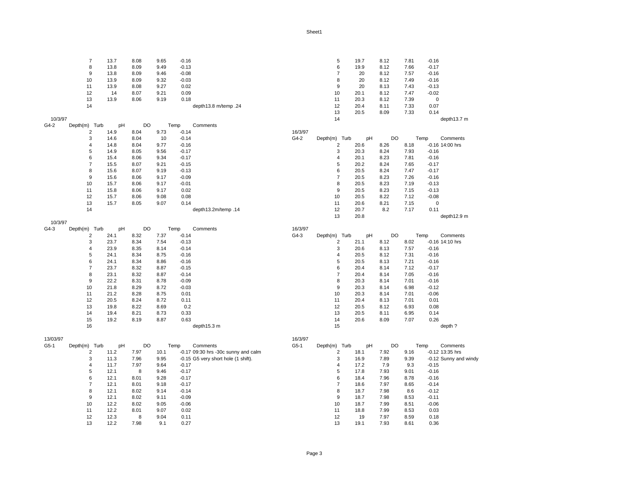13.7 8.08 9.65 -0.16 5 19.7 8.12 7.81 -0.16 13.8 8.09 9.49 -0.13 6 19.9 8.12 7.66 -0.17 13.8 8.09 9.46 -0.08 7 20 8.12 7.57 -0.16 13.9 8.09 9.32 -0.03 8 20 8.12 7.49 -0.16 13.9 8.08 9.27 0.02 9 20 8.13 7.43 -0.13 14 8.07 9.21 0.09 10 20.1 8.12 7.47 -0.02 13.9 8.06 9.19 0.18 11 20.3 8.12 7.39 0 depth13.8 m/temp .24 12 20.4 8.11 7.33 0.07 20.5 8.09 7.33 0.14 10/3/97 14 depth13.7 m G4-2 Depth(m) Turb pH DO Temp Comments<br>2 14.9 8.04 9.73 -0.14 14.9 8.04 9.73 -0.14 16/3/97 14.6 8.04 10 -0.14 G4-2 Depth(m) Turb pH DO Temp Comments 14.8 8.04 9.77 -0.16 2 20.6 8.26 8.18 -0.16 14:00 hrs 14.9 8.05 9.56 -0.17 3 20.3 8.24 7.93 -0.16 15.4 8.06 9.34 -0.17 4 20.1 8.23 7.81 -0.16 15.5 8.07 9.21 -0.15 5 20.2 8.24 7.65 -0.17 15.6 8.07 9.19 -0.13 6 20.5 8.24 7.47 -0.17 15.6 8.06 9.17 -0.09 7 20.5 8.23 7.26 -0.16 15.7 8.06 9.17 -0.01 8 20.5 8.23 7.19 -0.13 15.8 8.06 9.17 0.02 9 20.5 8.23 7.15 -0.13 15.7 8.06 9.08 0.08 10 20.5 8.22 7.12 -0.08 15.7 8.05 9.07 0.14 11 20.6 8.21 7.15 0 depth13.2m/temp .14 12 20.7 8.2 7.17 0.11 20.8 depth12.9 m 10/3/97 G4-3 Depth(m) Turb pH DO Temp Comments 16/3/97<br>2 24.1 8.32 7.37 -0.14 64-3 24.1 8.32 7.37 -0.14 G4-3 Depth(m) Turb pH DO Temp Comments 23.7 8.34 7.54 -0.13 2 21.1 8.12 8.02 -0.16 14:10 hrs 23.9 8.35 8.14 -0.14 3 20.6 8.13 7.57 -0.16 24.1 8.34 8.75 -0.16 4 20.5 8.12 7.31 -0.16 24.1 8.34 8.86 -0.16 5 20.5 8.13 7.21 -0.16 23.7 8.32 8.87 -0.15 6 20.4 8.14 7.12 -0.17 23.1 8.32 8.87 -0.14 7 20.4 8.14 7.05 -0.16 22.2 8.31 8.78 -0.09 8 20.3 8.14 7.01 -0.16 21.8 8.29 8.72 -0.03 9 20.3 8.14 6.98 -0.12 21.2 8.28 8.75 0.01 10 20.3 8.14 7.01 -0.06 20.5 8.24 8.72 0.11 11 20.4 8.13 7.01 0.01 19.8 8.22 8.69 0.2 12 20.5 8.12 6.93 0.08 19.4 8.21 8.73 0.33 13 20.5 8.11 6.95 0.14 19.2 8.19 8.87 0.63 14 20.6 8.09 7.07 0.26 16 depth15.3 m 15 depth15.3 m 15 depth ? depth ? 13/03/97 16/3/97 G5-1 Depth(m) Turb pH DO Temp Comments G5-1 Depth(m) Turb pH DO Temp Comments 2 11.2 7.97 10.1 -0.17 09:30 hrs -30c sunny and calm 2 18.1 7.92 9.16 -0.12 13:35 hrs<br>3 11.3 7.96 9.95 -0.15 G5 very short hole (1 shift). 3 16.9 7.89 9.39 -0.12 Sunny and windy 3 11.3 7.96 9.95 -0.15 G5 very short hole (1 shift). <br>3 16.9 7.89 9.39 -0.12<br>4 17.2 7.9 9.3 -0.15 11.7 7.97 9.64 -0.17 4 17.2 7.9 9.3 -0.15 12.1 8 9.46 -0.17 5 17.8 7.93 9.01 -0.16

> 12.1 8.01 9.28 -0.17 6 18.4 7.96 8.78 -0.16 12.1 8.01 9.18 -0.17 7 18.6 7.97 8.65 -0.14 12.1 8.02 9.14 -0.14 8 18.7 7.98 8.6 -0.12 12.1 8.02 9.11 -0.09 9 18.7 7.98 8.53 -0.11 12.2 8.02 9.05 -0.06 10 18.7 7.99 8.51 -0.06 12.2 8.01 9.07 0.02 11 18.8 7.99 8.53 0.03 12.3 8 9.04 0.11 12 19 7.97 8.59 0.18 12.2 7.98 9.1 0.27 13 19.1 7.93 8.61 0.36

> > Page 3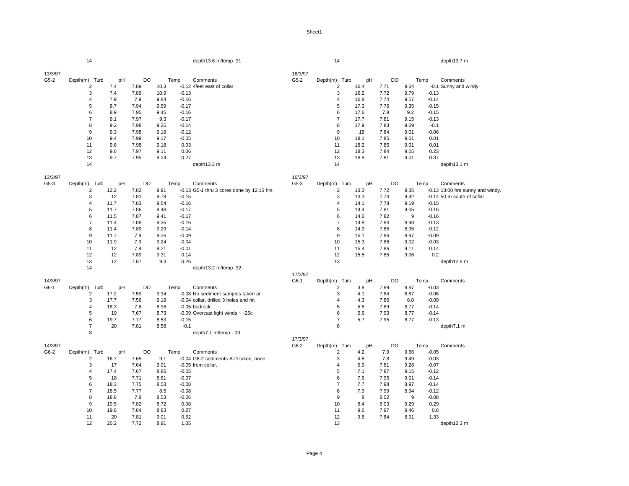|                   | 14               |      |           |      |         | depth13.6 m/temp .31                      |                   | 14                       |      |           |      |         | depth13.7 m                        |
|-------------------|------------------|------|-----------|------|---------|-------------------------------------------|-------------------|--------------------------|------|-----------|------|---------|------------------------------------|
|                   |                  |      |           |      |         |                                           |                   |                          |      |           |      |         |                                    |
| 13/3/97           |                  |      |           |      |         |                                           | 16/3/97           |                          |      |           |      |         |                                    |
| $G5-2$            | Depth(m) Turb    | pH   | <b>DO</b> |      | Temp    | Comments                                  | $G5-2$            | Depth(m) Turb            | pH   | <b>DO</b> |      | Temp    | Comments                           |
|                   | 2                | 7.4  | 7.89      | 10.3 |         | -0.12 4feet east of collar                |                   | $\overline{c}$           | 16.4 | 7.71      | 9.64 |         | -0.1 Sunny and windy               |
|                   | 3                | 7.4  | 7.89      | 10.9 | $-0.13$ |                                           |                   | 3                        | 16.2 | 7.72      | 9.79 | $-0.13$ |                                    |
|                   | $\overline{4}$   | 7.9  | 7.9       | 9.84 | $-0.16$ |                                           |                   | $\overline{4}$           | 16.8 | 7.74      | 9.57 | $-0.14$ |                                    |
|                   | 5                | 8.7  | 7.94      | 9.59 | $-0.17$ |                                           |                   | 5                        | 17.3 | 7.76      | 9.35 | $-0.15$ |                                    |
|                   | 6                | 8.9  | 7.95      | 9.45 | $-0.16$ |                                           |                   | 6                        | 17.6 | 7.8       | 9.2  | $-0.15$ |                                    |
|                   | $\overline{7}$   | 9.1  | 7.97      | 9.3  | $-0.17$ |                                           |                   | $\overline{7}$           | 17.7 | 7.81      | 9.15 | $-0.13$ |                                    |
|                   | 8                | 9.2  | 7.98      | 9.25 | $-0.14$ |                                           |                   | 8                        | 17.9 | 7.83      | 9.09 | $-0.1$  |                                    |
|                   | 9                | 9.3  | 7.98      | 9.19 | $-0.12$ |                                           |                   | 9                        | 18   | 7.84      | 9.01 | $-0.06$ |                                    |
|                   | 10               | 9.4  | 7.99      | 9.17 | $-0.05$ |                                           |                   | 10                       | 18.1 | 7.85      | 9.01 | 0.01    |                                    |
|                   | 11               | 9.6  | 7.98      | 9.18 | 0.03    |                                           |                   | 11                       | 18.2 | 7.85      | 9.01 | 0.01    |                                    |
|                   | 12               | 9.6  | 7.97      | 9.11 | 0.06    |                                           |                   | 12                       | 18.3 | 7.84      | 9.05 | 0.23    |                                    |
|                   | 13               | 9.7  | 7.95      | 9.24 | 0.27    |                                           |                   | 13                       | 18.9 | 7.81      | 9.01 | 0.37    |                                    |
|                   | 14               |      |           |      |         | depth13.3 m                               |                   | 14                       |      |           |      |         | depth13.1 m                        |
|                   |                  |      |           |      |         |                                           |                   |                          |      |           |      |         |                                    |
| 13/3/97<br>$G5-3$ | Depth(m) Turb    | pH   | <b>DO</b> |      | Temp    | Comments                                  | 16/3/97<br>$G5-3$ | Depth(m) Turb            | pH   | DO        |      | Temp    | Comments                           |
|                   | $\overline{c}$   | 12.2 | 7.82      | 9.91 |         | -0.13 G5-1 thru 3 cores done by 12:15 hrs |                   | $\overline{c}$           | 13.3 | 7.72      | 9.35 |         | $-0.13$ 13:00 hrs sunny and windy. |
|                   | 3                | 12   | 7.81      | 9.79 | $-0.15$ |                                           |                   | 3                        | 13.3 | 7.74      | 9.42 |         | -0.14 50 m south of collar         |
|                   | $\overline{4}$   | 11.7 | 7.83      | 9.64 | $-0.16$ |                                           |                   | 4                        | 14.1 | 7.78      | 9.19 | $-0.15$ |                                    |
|                   | 5                | 11.7 | 7.86      | 9.48 | $-0.17$ |                                           |                   | 5                        | 14.4 | 7.81      | 9.05 | $-0.16$ |                                    |
|                   | 6                | 11.5 | 7.87      | 9.41 | $-0.17$ |                                           |                   | 6                        | 14.6 | 7.82      | 9    | $-0.16$ |                                    |
|                   | $\overline{7}$   | 11.4 | 7.88      | 9.35 | $-0.16$ |                                           |                   | $\overline{7}$           | 14.8 | 7.84      | 8.98 | $-0.13$ |                                    |
|                   | 8                | 11.4 | 7.89      | 9.29 | $-0.14$ |                                           |                   | 8                        | 14.9 | 7.85      | 8.95 | $-0.12$ |                                    |
|                   | $\boldsymbol{9}$ | 11.7 | 7.9       | 9.26 | $-0.09$ |                                           |                   | $\boldsymbol{9}$         | 15.1 | 7.86      | 8.97 | $-0.09$ |                                    |
|                   | 10               | 11.9 | 7.9       | 9.24 | $-0.04$ |                                           |                   | 10                       | 15.3 | 7.86      | 9.02 | $-0.03$ |                                    |
|                   | 11               | 12   | 7.9       | 9.21 | $-0.01$ |                                           |                   | 11                       | 15.4 | 7.86      | 9.11 | 0.14    |                                    |
|                   | 12               | 12   | 7.89      | 9.31 | 0.14    |                                           |                   | 12                       | 15.5 | 7.85      | 9.06 | 0.2     |                                    |
|                   | 13               | 12   | 7.87      | 9.3  | 0.26    |                                           |                   | 13                       |      |           |      |         | depth12.8 m                        |
|                   | 14               |      |           |      |         | depth13.2 m/temp .32                      |                   |                          |      |           |      |         |                                    |
|                   |                  |      |           |      |         |                                           | 17/3/97           |                          |      |           |      |         |                                    |
| 14/3/97           |                  |      |           |      |         |                                           | G6-1              | Depth(m) Turb            | pH   | DO        |      | Temp    | Comments                           |
| G6-1              | Depth(m) Turb    | pH   | DO        |      | Temp    | Comments                                  |                   | 2                        | 3.8  | 7.89      | 8.87 | $-0.03$ |                                    |
|                   | $\overline{c}$   | 17.2 | 7.59      | 9.34 |         | -0.08 No sediment samples taken at        |                   | 3                        | 4.1  | 7.84      | 8.87 | $-0.06$ |                                    |
|                   | 3                | 17.7 | 7.56      | 9.19 |         | -0.04 collar, drilled 3 holes and hit     |                   | 4                        | 4.3  | 7.86      | 8.8  | $-0.09$ |                                    |
|                   | 4                | 18.3 | 7.6       | 8.98 |         | -0.05 bedrock.                            |                   | 5                        | 5.5  | 7.89      | 8.77 | $-0.14$ |                                    |
|                   | 5                | 19   | 7.67      | 8.73 |         | -0.09 Overcast light winds $\sim$ -25c    |                   | 6                        | 5.6  | 7.93      | 8.77 | $-0.14$ |                                    |
|                   | 6                | 19.7 | 7.77      | 8.53 | $-0.15$ |                                           |                   | $\overline{\mathcal{I}}$ | 5.7  | 7.95      | 8.77 | $-0.13$ |                                    |
|                   | $\overline{7}$   | 20   | 7.81      | 8.58 | $-0.1$  |                                           |                   | 8                        |      |           |      |         | depth7.1 m                         |
|                   | 8                |      |           |      |         | depth7.1 m/temp -.09                      |                   |                          |      |           |      |         |                                    |
|                   |                  |      |           |      |         |                                           | 17/3/97           |                          |      |           |      |         |                                    |
| 14/3/97           |                  |      |           |      |         |                                           | G6-2              | Depth(m) Turb            | pH   | DO        |      | Temp    | Comments                           |
| G6-2              | Depth(m) Turb    | pH   | DO        |      | Temp    | Comments                                  |                   | 2                        | 4.2  | 7.9       | 9.66 | $-0.05$ |                                    |
|                   | $\overline{2}$   | 16.7 | 7.65      | 9.1  |         | -0.04 G6-2 sediments A-D taken, none      |                   | 3                        | 4.8  | 7.8       | 9.49 | $-0.03$ |                                    |
|                   | 3                | 17   | 7.64      | 9.01 |         | -0.05 from collar.                        |                   | 4                        | 5.9  | 7.81      | 9.28 | $-0.07$ |                                    |
|                   | 4                | 17.4 | 7.67      | 8.86 | $-0.05$ |                                           |                   | 5                        | 7.1  | 7.87      | 9.15 | $-0.12$ |                                    |
|                   | 5                | 18   | 7.71      | 8.61 | $-0.07$ |                                           |                   | 6                        | 7.6  | 7.95      | 9.01 | $-0.14$ |                                    |
|                   | 6                | 18.3 | 7.75      | 8.53 | $-0.08$ |                                           |                   | $\overline{7}$           | 7.7  | 7.98      | 8.97 | $-0.14$ |                                    |
|                   | $\overline{7}$   | 18.5 | 7.77      | 8.5  | $-0.08$ |                                           |                   | 8                        | 7.9  | 7.99      | 8.94 | $-0.12$ |                                    |
|                   | 8                | 18.8 | 7.8       | 8.53 | $-0.06$ |                                           |                   | 9                        | 8    | 8.02      | 9    | $-0.08$ |                                    |
|                   | 9                | 19.5 | 7.82      | 8.72 | 0.08    |                                           |                   | 10                       | 8.4  | 8.03      | 9.29 | 0.29    |                                    |
|                   | 10               | 19.6 | 7.84      | 8.83 | 0.27    |                                           |                   | 11                       | 9.6  | 7.97      | 9.46 | 0.8     |                                    |
|                   | 11               | 20   | 7.81      | 9.01 | 0.52    |                                           |                   | 12                       | 9.8  | 7.84      | 8.91 | 1.33    |                                    |
|                   | 12               | 20.2 | 7.72      | 8.91 | 1.05    |                                           |                   | 13                       |      |           |      |         | depth12.3 m                        |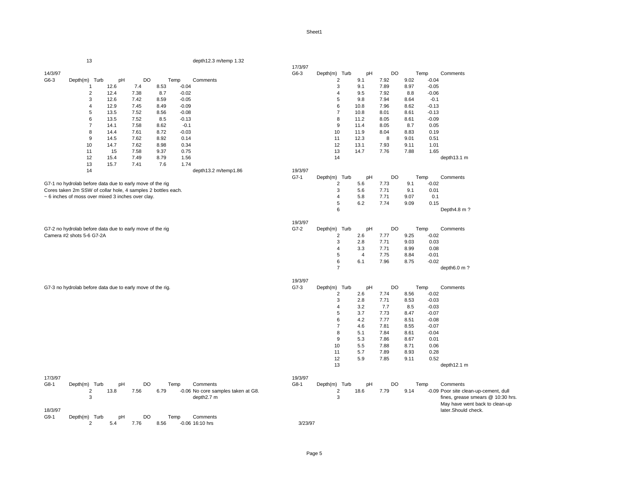|         | 13                                                           |      |      |      |         | depth12.3 m/temp 1.32              |         |                  |                |           |      |         |                                       |
|---------|--------------------------------------------------------------|------|------|------|---------|------------------------------------|---------|------------------|----------------|-----------|------|---------|---------------------------------------|
|         |                                                              |      |      |      |         |                                    | 17/3/97 |                  |                |           |      |         |                                       |
| 14/3/97 |                                                              |      |      |      |         |                                    | G6-3    | Depth(m) Turb    | pH             | DO        |      | Temp    | Comments                              |
| G6-3    | Depth(m) Turb                                                | pH   | DO   |      | Temp    | Comments                           |         | $\overline{2}$   | 9.1            | 7.92      | 9.02 | $-0.04$ |                                       |
|         | $\mathbf{1}$                                                 | 12.6 | 7.4  | 8.53 | $-0.04$ |                                    |         | 3                | 9.1            | 7.89      | 8.97 | $-0.05$ |                                       |
|         | $\overline{2}$                                               | 12.4 | 7.38 | 8.7  | $-0.02$ |                                    |         | $\overline{4}$   | 9.5            | 7.92      | 8.8  | $-0.06$ |                                       |
|         | $\sqrt{3}$                                                   | 12.6 | 7.42 | 8.59 | $-0.05$ |                                    |         | 5                | 9.8            | 7.94      | 8.64 | $-0.1$  |                                       |
|         | $\overline{4}$                                               | 12.9 | 7.45 | 8.49 | $-0.09$ |                                    |         | 6                | 10.8           | 7.96      | 8.62 | $-0.13$ |                                       |
|         | 5                                                            | 13.5 | 7.52 | 8.56 | $-0.08$ |                                    |         | $\overline{7}$   | 10.8           | 8.01      | 8.61 | $-0.13$ |                                       |
|         | 6                                                            | 13.5 | 7.52 | 8.5  | $-0.13$ |                                    |         | 8                | 11.2           | 8.05      | 8.61 | $-0.09$ |                                       |
|         | $\overline{7}$                                               | 14.1 | 7.58 | 8.62 | $-0.1$  |                                    |         | 9                | 11.4           | 8.05      | 8.7  | 0.05    |                                       |
|         | 8                                                            | 14.4 | 7.61 | 8.72 | $-0.03$ |                                    |         | 10               | 11.9           | 8.04      | 8.83 | 0.19    |                                       |
|         | 9                                                            | 14.5 | 7.62 | 8.92 | 0.14    |                                    |         | 11               | 12.3           | 8         | 9.01 | 0.51    |                                       |
|         |                                                              |      | 7.62 |      |         |                                    |         | 12               |                | 7.93      |      | 1.01    |                                       |
|         | 10                                                           | 14.7 |      | 8.98 | 0.34    |                                    |         |                  | 13.1           |           | 9.11 |         |                                       |
|         | 11                                                           | 15   | 7.58 | 9.37 | 0.75    |                                    |         | 13               | 14.7           | 7.76      | 7.88 | 1.65    |                                       |
|         | 12                                                           | 15.4 | 7.49 | 8.79 | 1.56    |                                    |         | 14               |                |           |      |         | depth13.1 m                           |
|         | 13                                                           | 15.7 | 7.41 | 7.6  | 1.74    |                                    |         |                  |                |           |      |         |                                       |
|         | 14                                                           |      |      |      |         | depth13.2 m/temp1.86               | 19/3/97 |                  |                |           |      |         |                                       |
|         |                                                              |      |      |      |         |                                    | $G7-1$  | Depth(m) Turb    | pH             | <b>DO</b> |      | Temp    | Comments                              |
|         | G7-1 no hydrolab before data due to early move of the rig    |      |      |      |         |                                    |         | $\overline{2}$   | 5.6            | 7.73      | 9.1  | $-0.02$ |                                       |
|         | Cores taken 2m SSW of collar hole, 4 samples 2 bottles each. |      |      |      |         |                                    |         | 3                | 5.6            | 7.71      | 9.1  | 0.01    |                                       |
|         | ~ 6 inches of moss over mixed 3 inches over clay.            |      |      |      |         |                                    |         | $\overline{4}$   | 5.8            | 7.71      | 9.07 | 0.1     |                                       |
|         |                                                              |      |      |      |         |                                    |         | 5                | 6.2            | 7.74      | 9.09 | 0.15    |                                       |
|         |                                                              |      |      |      |         |                                    |         | 6                |                |           |      |         | Depth4.8 m?                           |
|         |                                                              |      |      |      |         |                                    |         |                  |                |           |      |         |                                       |
|         |                                                              |      |      |      |         |                                    | 19/3/97 |                  |                |           |      |         |                                       |
|         | G7-2 no hydrolab before data due to early move of the rig    |      |      |      |         |                                    | $G7-2$  | Turb<br>Depth(m) | pH             | <b>DO</b> |      | Temp    | Comments                              |
|         | Camera #2 shots 5-6 G7-2A                                    |      |      |      |         |                                    |         | $\overline{2}$   | 2.6            | 7.77      | 9.25 | $-0.02$ |                                       |
|         |                                                              |      |      |      |         |                                    |         | 3                | 2.8            | 7.71      | 9.03 | 0.03    |                                       |
|         |                                                              |      |      |      |         |                                    |         | $\overline{4}$   | 3.3            | 7.71      | 8.99 | 0.08    |                                       |
|         |                                                              |      |      |      |         |                                    |         | 5                | $\overline{4}$ | 7.75      | 8.84 | $-0.01$ |                                       |
|         |                                                              |      |      |      |         |                                    |         | 6                | 6.1            | 7.96      | 8.75 | $-0.02$ |                                       |
|         |                                                              |      |      |      |         |                                    |         | $\overline{7}$   |                |           |      |         |                                       |
|         |                                                              |      |      |      |         |                                    |         |                  |                |           |      |         | depth6.0 m?                           |
|         |                                                              |      |      |      |         |                                    |         |                  |                |           |      |         |                                       |
|         |                                                              |      |      |      |         |                                    | 19/3/97 |                  |                |           |      |         |                                       |
|         | G7-3 no hydrolab before data due to early move of the rig.   |      |      |      |         |                                    | $G7-3$  | Depth(m) Turb    | pH             | DO        |      | Temp    | Comments                              |
|         |                                                              |      |      |      |         |                                    |         | $\overline{c}$   | 2.6            | 7.74      | 8.56 | $-0.02$ |                                       |
|         |                                                              |      |      |      |         |                                    |         | 3                | 2.8            | 7.71      | 8.53 | $-0.03$ |                                       |
|         |                                                              |      |      |      |         |                                    |         | $\overline{4}$   | 3.2            | 7.7       | 8.5  | $-0.03$ |                                       |
|         |                                                              |      |      |      |         |                                    |         | 5                | 3.7            | 7.73      | 8.47 | $-0.07$ |                                       |
|         |                                                              |      |      |      |         |                                    |         | 6                | 4.2            | 7.77      | 8.51 | $-0.08$ |                                       |
|         |                                                              |      |      |      |         |                                    |         | $\overline{7}$   | 4.6            | 7.81      | 8.55 | $-0.07$ |                                       |
|         |                                                              |      |      |      |         |                                    |         | 8                | 5.1            | 7.84      | 8.61 | $-0.04$ |                                       |
|         |                                                              |      |      |      |         |                                    |         | $9\,$            | 5.3            | 7.86      | 8.67 | 0.01    |                                       |
|         |                                                              |      |      |      |         |                                    |         | 10               | 5.5            | 7.88      | 8.71 | 0.06    |                                       |
|         |                                                              |      |      |      |         |                                    |         | 11               | 5.7            | 7.89      | 8.93 | 0.28    |                                       |
|         |                                                              |      |      |      |         |                                    |         | 12               | 5.9            | 7.85      | 9.11 | 0.52    |                                       |
|         |                                                              |      |      |      |         |                                    |         | 13               |                |           |      |         | depth12.1 m                           |
|         |                                                              |      |      |      |         |                                    |         |                  |                |           |      |         |                                       |
| 17/3/97 |                                                              |      |      |      |         |                                    | 19/3/97 |                  |                |           |      |         |                                       |
|         |                                                              |      |      |      |         |                                    |         |                  |                |           |      |         |                                       |
| G8-1    | Depth(m) Turb                                                | pH   | DO   |      | Temp    | Comments                           | G8-1    | Depth(m) Turb    | pH             | DO        |      | Temp    | Comments                              |
|         | $\overline{c}$                                               | 13.8 | 7.56 | 6.79 |         | -0.06 No core samples taken at G8. |         | $\sqrt{2}$       | 18.6           | 7.79      | 9.14 |         | -0.09 Poor site clean-up-cement, dull |
|         | 3                                                            |      |      |      |         | depth2.7 m                         |         | 3                |                |           |      |         | fines, grease smears @ 10:30 hrs.     |
|         |                                                              |      |      |      |         |                                    |         |                  |                |           |      |         | May have went back to clean-up        |
| 18/3/97 |                                                              |      |      |      |         |                                    |         |                  |                |           |      |         | later.Should check.                   |
| G9-1    | Depth(m) Turb                                                | pH   | DO   |      | Temp    | Comments                           |         |                  |                |           |      |         |                                       |
|         | $\overline{2}$                                               | 5.4  | 7.76 | 8.56 |         | -0.06 16:10 hrs                    | 3/23/97 |                  |                |           |      |         |                                       |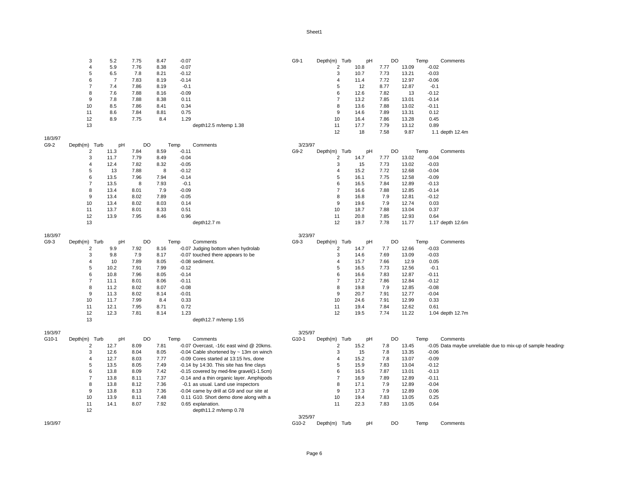|         | 3              | 5.2            | 7.75 | 8.47 | $-0.07$                                      | G9-1    | Depth(m) Turb    | pH   | DO        | Temp  |         | Comments                                                     |
|---------|----------------|----------------|------|------|----------------------------------------------|---------|------------------|------|-----------|-------|---------|--------------------------------------------------------------|
|         | $\overline{4}$ | 5.9            | 7.76 | 8.38 | $-0.07$                                      |         | $\overline{c}$   | 10.8 | 7.77      | 13.09 | $-0.02$ |                                                              |
|         | 5              | 6.5            | 7.8  | 8.21 | $-0.12$                                      |         | 3                | 10.7 | 7.73      | 13.21 | $-0.03$ |                                                              |
|         | 6              | $\overline{7}$ | 7.83 | 8.19 | $-0.14$                                      |         | $\overline{4}$   | 11.4 | 7.72      | 12.97 | $-0.06$ |                                                              |
|         | $\overline{7}$ | 7.4            | 7.86 | 8.19 | $-0.1$                                       |         | 5                | 12   | 8.77      | 12.87 | $-0.1$  |                                                              |
|         | 8              | 7.6            | 7.88 | 8.16 | $-0.09$                                      |         | 6                | 12.6 | 7.82      | 13    | $-0.12$ |                                                              |
|         | $\mathbf{Q}$   | 7.8            | 7.88 | 8.38 | 0.11                                         |         | $\overline{7}$   | 13.2 | 7.85      | 13.01 | $-0.14$ |                                                              |
|         | 10             | 8.5            | 7.86 | 8.41 | 0.34                                         |         | 8                | 13.6 | 7.88      | 13.02 | $-0.11$ |                                                              |
|         | 11             | 8.6            | 7.84 | 8.81 | 0.75                                         |         | $\boldsymbol{9}$ | 14.6 | 7.89      | 13.31 | 0.12    |                                                              |
|         | 12             | 8.9            | 7.75 | 8.4  | 1.29                                         |         | 10               | 16.4 | 7.86      | 13.28 | 0.45    |                                                              |
|         | 13             |                |      |      | depth12.5 m/temp 1.38                        |         | 11               | 17.7 | 7.79      | 13.12 | 0.89    |                                                              |
|         |                |                |      |      |                                              |         | 12               | 18   | 7.58      | 9.87  |         | 1.1 depth 12.4m                                              |
| 18/3/97 |                |                |      |      |                                              |         |                  |      |           |       |         |                                                              |
| G9-2    | Depth(m) Turb  | pH             | DO   |      | Temp<br>Comments                             | 3/23/97 |                  |      |           |       |         |                                                              |
|         | 2              | 11.3           | 7.84 | 8.59 | $-0.11$                                      | G9-2    | Depth(m) Turb    | pH   | <b>DO</b> | Temp  |         | Comments                                                     |
|         | 3              | 11.7           | 7.79 | 8.49 | $-0.04$                                      |         | 2                | 14.7 | 7.77      | 13.02 | $-0.04$ |                                                              |
|         | $\overline{4}$ | 12.4           | 7.82 | 8.32 | $-0.05$                                      |         | 3                | 15   | 7.73      | 13.02 | $-0.03$ |                                                              |
|         | 5              | 13             | 7.88 | 8    | $-0.12$                                      |         | $\overline{4}$   | 15.2 | 7.72      | 12.68 | $-0.04$ |                                                              |
|         | 6              | 13.5           | 7.96 | 7.94 | $-0.14$                                      |         | 5                | 16.1 | 7.75      | 12.58 | $-0.09$ |                                                              |
|         | $\overline{7}$ | 13.5           | 8    | 7.93 | $-0.1$                                       |         | 6                | 16.5 | 7.84      | 12.89 | $-0.13$ |                                                              |
|         | 8              | 13.4           | 8.01 | 7.9  | $-0.09$                                      |         | $\overline{7}$   | 16.6 | 7.88      | 12.85 | $-0.14$ |                                                              |
|         | 9              | 13.4           | 8.02 | 7.89 | $-0.05$                                      |         | 8                | 16.8 | 7.9       | 12.81 | $-0.12$ |                                                              |
|         | 10             | 13.4           | 8.02 | 8.03 | 0.14                                         |         | 9                | 19.6 | 7.9       | 12.74 | 0.03    |                                                              |
|         | 11             | 13.7           | 8.01 | 8.33 | 0.51                                         |         | 10               | 18.7 | 7.88      | 13.04 | 0.37    |                                                              |
|         | 12             | 13.9           | 7.95 | 8.46 | 0.96                                         |         | 11               | 20.8 | 7.85      | 12.93 | 0.64    |                                                              |
|         | 13             |                |      |      | depth12.7 m                                  |         | 12               | 19.7 | 7.78      | 11.77 |         | 1.17 depth 12.6m                                             |
|         |                |                |      |      |                                              |         |                  |      |           |       |         |                                                              |
| 18/3/97 |                |                |      |      |                                              | 3/23/97 |                  |      |           |       |         |                                                              |
| $G9-3$  | Depth(m) Turb  | pH             | DO   |      | Temp<br>Comments                             | $G9-3$  | Depth(m) Turb    | pH   | DO        | Temp  |         | Comments                                                     |
|         | 2              | 9.9            | 7.92 | 8.16 | -0.07 Judging bottom when hydrolab           |         | 2                | 14.7 | 7.7       | 12.66 | $-0.03$ |                                                              |
|         | 3              | 9.8            | 7.9  | 8.17 | -0.07 touched there appears to be            |         | 3                | 14.6 | 7.69      | 13.09 | $-0.03$ |                                                              |
|         | $\overline{4}$ | 10             | 7.89 | 8.05 | -0.08 sediment.                              |         | $\overline{4}$   | 15.7 | 7.66      | 12.9  | 0.05    |                                                              |
|         | 5              | 10.2           | 7.91 | 7.99 | $-0.12$                                      |         | $\,$ 5 $\,$      | 16.5 | 7.73      | 12.56 | $-0.1$  |                                                              |
|         | 6              | 10.8           | 7.96 | 8.05 | $-0.14$                                      |         | 6                | 16.6 | 7.83      | 12.87 | $-0.11$ |                                                              |
|         | $\overline{7}$ | 11.1           | 8.01 | 8.06 | $-0.11$                                      |         | $\overline{7}$   | 17.2 | 7.86      | 12.84 | $-0.12$ |                                                              |
|         | 8              | 11.2           | 8.02 | 8.07 | $-0.08$                                      |         | 8                | 19.8 | 7.9       | 12.85 | $-0.08$ |                                                              |
|         | 9              | 11.3           | 8.02 | 8.14 | $-0.01$                                      |         | 9                | 20.7 | 7.91      | 12.77 | $-0.04$ |                                                              |
|         | 10             | 11.7           | 7.99 | 8.4  | 0.33                                         |         | 10               | 24.6 | 7.91      | 12.99 | 0.33    |                                                              |
|         | 11             | 12.1           | 7.95 | 8.71 | 0.72                                         |         | 11               | 19.4 | 7.84      | 12.62 | 0.61    |                                                              |
|         | 12             | 12.3           | 7.81 | 8.14 | 1.23                                         |         | 12               | 19.5 | 7.74      | 11.22 |         | 1.04 depth 12.7m                                             |
|         | 13             |                |      |      | depth12.7 m/temp 1.55                        |         |                  |      |           |       |         |                                                              |
|         |                |                |      |      |                                              |         |                  |      |           |       |         |                                                              |
| 19/3/97 |                |                |      |      |                                              | 3/25/97 |                  |      |           |       |         |                                                              |
| G10-1   | Depth(m) Turb  | pH             | DO   |      | Temp<br>Comments                             | G10-1   | Depth(m) Turb    | pH   | DO        | Temp  |         | Comments                                                     |
|         | 2              | 12.7           | 8.09 | 7.81 | -0.07 Overcast, -16c east wind @ 20kms.      |         | 2                | 15.2 | 7.8       | 13.45 |         | -0.05 Data maybe unreliable due to mix-up of sample headings |
|         | 3              | 12.6           | 8.04 | 8.05 | -0.04 Cable shortened by $\sim$ 13m on winch |         | 3                | 15   | 7.8       | 13.35 | $-0.06$ |                                                              |
|         | $\overline{4}$ | 12.7           | 8.03 | 7.77 | -0.09 Cores started at 13:15 hrs, done       |         | $\overline{4}$   | 15.2 | 7.8       | 13.07 | $-0.09$ |                                                              |
|         | 5              | 13.5           | 8.05 | 7.49 | -0.14 by 14:30. This site has fine clays     |         | 5                | 15.9 | 7.83      | 13.04 | $-0.12$ |                                                              |
|         | 6              | 13.8           | 8.09 | 7.42 | -0.15 covered by med-fine gravel(1-1.5cm)    |         | 6                | 16.5 | 7.87      | 13.01 | $-0.13$ |                                                              |
|         | $\overline{7}$ | 13.8           | 8.11 | 7.37 | -0.14 and a thin organic layer. Amphipods    |         | $\overline{7}$   | 16.9 | 7.89      | 12.89 | $-0.11$ |                                                              |
|         | 8              | 13.8           | 8.12 | 7.36 | -0.1 as usual. Land use inspectors           |         | 8                | 17.1 | 7.9       | 12.89 | $-0.04$ |                                                              |
|         | 9              | 13.8           | 8.13 | 7.36 | -0.04 came by drill at G9 and our site at    |         | $\boldsymbol{9}$ | 17.3 | 7.9       | 12.89 | 0.06    |                                                              |
|         | 10             | 13.9           | 8.11 | 7.48 | 0.11 G10. Short demo done along with a       |         | 10               | 19.4 | 7.83      | 13.05 | 0.25    |                                                              |
|         | 11             | 14.1           | 8.07 | 7.92 | 0.65 explanation.                            |         | 11               | 22.3 | 7.83      | 13.05 | 0.64    |                                                              |
|         | 12             |                |      |      | depth11.2 m/temp 0.78                        |         |                  |      |           |       |         |                                                              |
|         |                |                |      |      |                                              | 3/25/97 |                  |      |           |       |         |                                                              |
| 19/3/97 |                |                |      |      |                                              | G10-2   | Depth(m) Turb    | pH   | DO        | Temp  |         | Comments                                                     |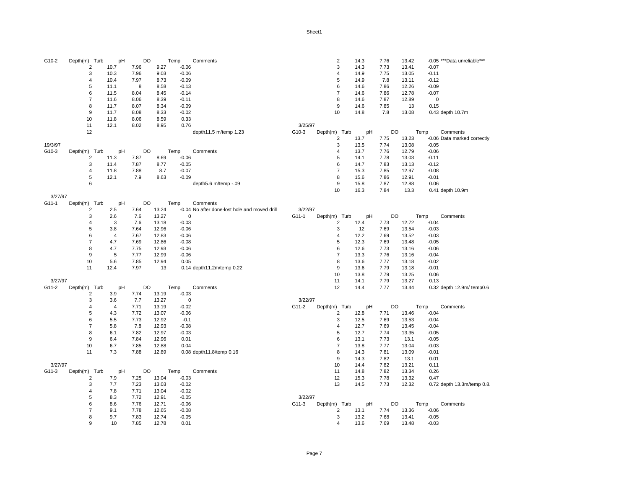| G10-2   | Depth(m) Turb           | pH   | DO   |       | Temp        | Comments                                      |         | $\overline{c}$          | 14.3 | 7.76 | 13.42 | -0.05 *** Data unreliable*** |
|---------|-------------------------|------|------|-------|-------------|-----------------------------------------------|---------|-------------------------|------|------|-------|------------------------------|
|         | $\overline{2}$          | 10.7 | 7.96 | 9.27  | $-0.06$     |                                               |         | 3                       | 14.3 | 7.73 | 13.41 | $-0.07$                      |
|         | 3                       | 10.3 | 7.96 | 9.03  | $-0.06$     |                                               |         | 4                       | 14.9 | 7.75 | 13.05 | $-0.11$                      |
|         | 4                       | 10.4 | 7.97 | 8.73  | $-0.09$     |                                               |         | 5                       | 14.9 | 7.8  | 13.11 | $-0.12$                      |
|         | 5                       | 11.1 | 8    | 8.58  | $-0.13$     |                                               |         | 6                       | 14.6 | 7.86 | 12.26 | $-0.09$                      |
|         | 6                       | 11.5 | 8.04 | 8.45  | $-0.14$     |                                               |         | $\overline{7}$          | 14.6 | 7.86 | 12.78 | $-0.07$                      |
|         | $\overline{7}$          | 11.6 | 8.06 | 8.39  | $-0.11$     |                                               |         | 8                       | 14.6 | 7.87 | 12.89 | $\mathbf 0$                  |
|         | 8                       | 11.7 | 8.07 | 8.34  | $-0.09$     |                                               |         | 9                       | 14.6 | 7.85 | 13    | 0.15                         |
|         | 9                       | 11.7 | 8.08 | 8.33  | $-0.02$     |                                               |         | 10                      | 14.8 | 7.8  | 13.08 | 0.43 depth 10.7m             |
|         | 10                      | 11.8 | 8.06 | 8.59  | 0.33        |                                               |         |                         |      |      |       |                              |
|         | 11                      | 12.1 | 8.02 | 8.95  | 0.76        |                                               | 3/25/97 |                         |      |      |       |                              |
|         | 12                      |      |      |       |             | depth11.5 m/temp 1.23                         | G10-3   | Depth(m) Turb           | pH   | DO   |       | Temp<br>Comments             |
|         |                         |      |      |       |             |                                               |         | 2                       | 13.7 | 7.75 | 13.23 | -0.06 Data marked correctly  |
| 19/3/97 |                         |      |      |       |             |                                               |         | 3                       | 13.5 | 7.74 | 13.08 | $-0.05$                      |
| G10-3   | Depth(m) Turb           | pH   | DO   |       | Temp        | Comments                                      |         | 4                       | 13.7 | 7.76 | 12.79 | $-0.06$                      |
|         | $\overline{2}$          | 11.3 | 7.87 | 8.69  | $-0.06$     |                                               |         | 5                       | 14.1 | 7.78 | 13.03 | $-0.11$                      |
|         | 3                       | 11.4 | 7.87 | 8.77  | $-0.05$     |                                               |         | 6                       | 14.7 | 7.83 | 13.13 | $-0.12$                      |
|         | $\overline{4}$          | 11.8 | 7.88 | 8.7   | $-0.07$     |                                               |         | $\overline{7}$          | 15.3 | 7.85 | 12.97 | $-0.08$                      |
|         | 5                       | 12.1 | 7.9  | 8.63  | $-0.09$     |                                               |         | 8                       | 15.6 | 7.86 | 12.91 | $-0.01$                      |
|         | 6                       |      |      |       |             | depth5.6 m/temp -.09                          |         | 9                       | 15.8 | 7.87 | 12.88 | 0.06                         |
|         |                         |      |      |       |             |                                               |         | 10                      | 16.3 | 7.84 | 13.3  | 0.41 depth 10.9m             |
| 3/27/97 |                         |      |      |       |             |                                               |         |                         |      |      |       |                              |
| G11-1   | Depth(m) Turb           | pH   | DO   |       | Temp        | Comments                                      |         |                         |      |      |       |                              |
|         | $\overline{\mathbf{c}}$ | 2.5  | 7.64 | 13.24 |             | -0.04 No after done-lost hole and moved drill | 3/22/97 |                         |      |      |       |                              |
|         | 3                       | 2.6  | 7.6  | 13.27 | $\mathbf 0$ |                                               | G11-1   | Depth(m) Turb           | pH   | DO   |       | Temp<br>Comments             |
|         | $\overline{4}$          | 3    | 7.6  | 13.18 | $-0.03$     |                                               |         | 2                       | 12.4 | 7.73 | 12.72 | $-0.04$                      |
|         | 5                       | 3.8  | 7.64 | 12.96 | $-0.06$     |                                               |         | 3                       | 12   | 7.69 | 13.54 | $-0.03$                      |
|         | 6                       | 4    | 7.67 | 12.83 | $-0.06$     |                                               |         | 4                       | 12.2 | 7.69 | 13.52 | $-0.03$                      |
|         | $\overline{7}$          | 4.7  | 7.69 | 12.86 | $-0.08$     |                                               |         | 5                       | 12.3 | 7.69 | 13.48 | $-0.05$                      |
|         | 8                       | 4.7  | 7.75 | 12.93 | $-0.06$     |                                               |         | 6                       | 12.6 | 7.73 | 13.16 | $-0.06$                      |
|         | 9                       |      |      |       | $-0.06$     |                                               |         | $\overline{7}$          |      |      |       |                              |
|         |                         | 5    | 7.77 | 12.99 |             |                                               |         |                         | 13.3 | 7.76 | 13.16 | $-0.04$                      |
|         | 10                      | 5.6  | 7.85 | 12.94 | 0.05        |                                               |         | 8                       | 13.6 | 7.77 | 13.18 | $-0.02$                      |
|         | 11                      | 12.4 | 7.97 | 13    |             | 0.14 depth11.2m/temp 0.22                     |         | 9                       | 13.6 | 7.79 | 13.18 | $-0.01$                      |
|         |                         |      |      |       |             |                                               |         | 10                      | 13.8 | 7.79 | 13.25 | 0.06                         |
| 3/27/97 |                         |      |      |       |             |                                               |         | 11                      | 14.1 | 7.79 | 13.27 | 0.13                         |
| G11-2   | Depth(m) Turb           | pH   | DO   |       | Temp        | Comments                                      |         | 12                      | 14.4 | 7.77 | 13.44 | 0.32 depth 12.9m/ temp0.6    |
|         | $\overline{2}$          | 3.9  | 7.74 | 13.19 | $-0.03$     |                                               |         |                         |      |      |       |                              |
|         | 3                       | 3.6  | 7.7  | 13.27 | $\mathbf 0$ |                                               | 3/22/97 |                         |      |      |       |                              |
|         | $\overline{4}$          | 4    | 7.71 | 13.19 | $-0.02$     |                                               | G11-2   | Depth(m) Turb           | pH   | DO   |       | Temp<br>Comments             |
|         | 5                       | 4.3  | 7.72 | 13.07 | $-0.06$     |                                               |         | $\overline{\mathbf{c}}$ | 12.8 | 7.71 | 13.46 | $-0.04$                      |
|         | 6                       | 5.5  | 7.73 | 12.92 | $-0.1$      |                                               |         | 3                       | 12.5 | 7.69 | 13.53 | $-0.04$                      |
|         | $\overline{7}$          | 5.8  | 7.8  | 12.93 | $-0.08$     |                                               |         | 4                       | 12.7 | 7.69 | 13.45 | $-0.04$                      |
|         | 8                       | 6.1  | 7.82 | 12.97 | $-0.03$     |                                               |         | 5                       | 12.7 | 7.74 | 13.35 | $-0.05$                      |
|         | 9                       | 6.4  | 7.84 | 12.96 | 0.01        |                                               |         | 6                       | 13.1 | 7.73 | 13.1  | $-0.05$                      |
|         | 10                      | 6.7  | 7.85 | 12.88 | 0.04        |                                               |         | 7                       | 13.8 | 7.77 | 13.04 | $-0.03$                      |
|         | 11                      | 7.3  | 7.88 | 12.89 |             | 0.08 depth11.8/temp 0.16                      |         | 8                       | 14.3 | 7.81 | 13.09 | $-0.01$                      |
|         |                         |      |      |       |             |                                               |         | $9\,$                   | 14.3 | 7.82 | 13.1  | 0.01                         |
| 3/27/97 |                         |      |      |       |             |                                               |         | 10                      | 14.4 | 7.82 | 13.21 | 0.11                         |
| G11-3   | Depth(m) Turb           | pH   | DO   |       | Temp        | Comments                                      |         | 11                      | 14.8 | 7.82 | 13.34 | 0.26                         |
|         | $\overline{2}$          | 7.9  | 7.25 | 13.04 | $-0.03$     |                                               |         | 12                      | 15.3 | 7.78 | 13.32 | 0.47                         |
|         | 3                       | 7.7  | 7.23 | 13.03 | $-0.02$     |                                               |         | 13                      | 14.5 | 7.73 | 12.32 | 0.72 depth 13.3m/temp 0.8.   |
|         | 4                       | 7.8  | 7.71 | 13.04 | $-0.02$     |                                               |         |                         |      |      |       |                              |
|         | 5                       | 8.3  | 7.72 | 12.91 | $-0.05$     |                                               | 3/22/97 |                         |      |      |       |                              |
|         | 6                       | 8.6  | 7.76 | 12.71 | $-0.06$     |                                               | G11-3   | Depth(m) Turb           | pH   | DO   |       | Temp<br>Comments             |
|         | $\overline{7}$          | 9.1  | 7.78 | 12.65 | $-0.08$     |                                               |         | $\overline{2}$          | 13.1 | 7.74 | 13.36 | $-0.06$                      |
|         | 8                       | 9.7  | 7.83 | 12.74 | $-0.05$     |                                               |         | 3                       | 13.2 | 7.68 | 13.41 | $-0.05$                      |
|         | 9                       | 10   | 7.85 | 12.78 | 0.01        |                                               |         | 4                       | 13.6 | 7.69 | 13.48 | $-0.03$                      |
|         |                         |      |      |       |             |                                               |         |                         |      |      |       |                              |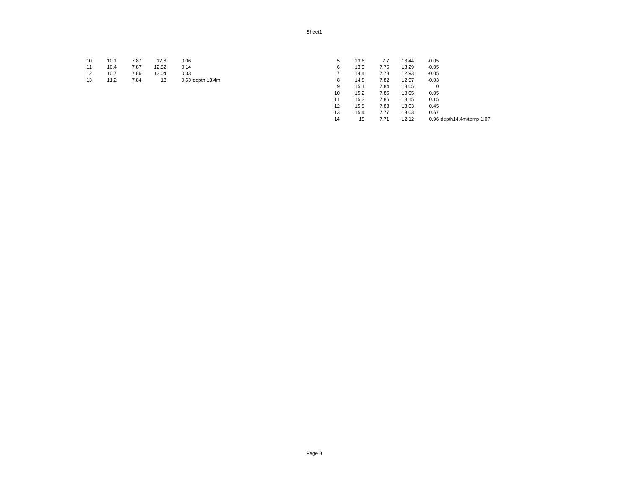| 10 | 10.1 | 7.87 | 12.8       | 0.06             |    | 13.6 | 7.7  | 13.44 | $-0.05$ |
|----|------|------|------------|------------------|----|------|------|-------|---------|
| 11 | 10.4 | 7.87 | 12.82 0.14 |                  | 6. | 13.9 | 7.75 | 13.29 | $-0.05$ |
| 12 | 10.7 | 7.86 | 13.04      | 0.33             |    | 14.4 | 7.78 | 12.93 | $-0.05$ |
| 13 | 11.2 | 7.84 | - 13 -     | 0.63 depth 13.4m |    | 14.8 | 7.82 | 12.97 | $-0.03$ |

| 5  | 13.6 | 7.7  | 13.44 | $-0.05$                   |
|----|------|------|-------|---------------------------|
| 6  | 13.9 | 7.75 | 13.29 | $-0.05$                   |
| 7  | 14.4 | 7.78 | 12.93 | $-0.05$                   |
| 8  | 14.8 | 7.82 | 12.97 | $-0.03$                   |
| 9  | 15.1 | 7.84 | 13.05 | 0                         |
| 10 | 15.2 | 7.85 | 13.05 | 0.05                      |
| 11 | 15.3 | 7.86 | 13.15 | 0.15                      |
| 12 | 15.5 | 7.83 | 13.03 | 0.45                      |
| 13 | 15.4 | 7.77 | 13.03 | 0.67                      |
| 14 | 15   | 7.71 | 12.12 | 0.96 depth14.4m/temp 1.07 |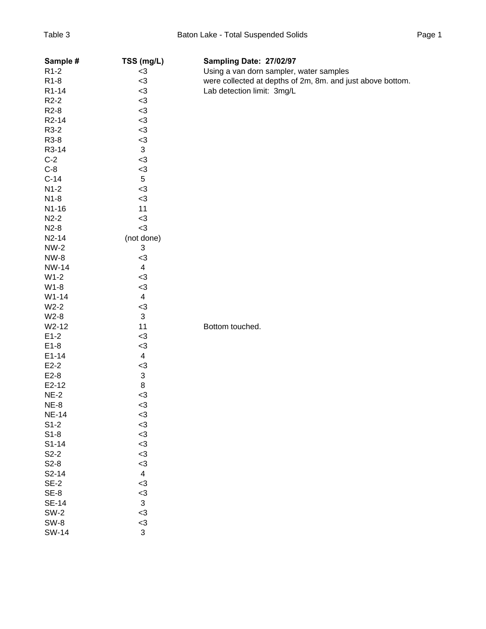| Sample #           | TSS (mg/L)                | Sampling Date: 27/02/97                                    |
|--------------------|---------------------------|------------------------------------------------------------|
| R <sub>1</sub> -2  | $3$                       | Using a van dorn sampler, water samples                    |
| R <sub>1</sub> -8  | $3$                       | were collected at depths of 2m, 8m. and just above bottom. |
| R1-14              | $3$                       | Lab detection limit: 3mg/L                                 |
| $R2-2$             | $3$                       |                                                            |
| R <sub>2</sub> -8  | $3$                       |                                                            |
| R <sub>2</sub> -14 | $3$                       |                                                            |
| R3-2               | $3$                       |                                                            |
| R3-8               | $3$                       |                                                            |
| R3-14              | $\ensuremath{\mathsf{3}}$ |                                                            |
| $C-2$              | $3$                       |                                                            |
| $C-8$              | $3$                       |                                                            |
| $C-14$             | $\,$ 5 $\,$               |                                                            |
| $N1-2$             | $3$                       |                                                            |
| $N1-8$             | $3$                       |                                                            |
| N1-16              | 11                        |                                                            |
| $N2-2$             | $3$                       |                                                            |
| $N2-8$             | $3$                       |                                                            |
| $N2-14$            | (not done)                |                                                            |
| $NW-2$             | 3                         |                                                            |
| <b>NW-8</b>        | $3$                       |                                                            |
| <b>NW-14</b>       | $\overline{\mathbf{4}}$   |                                                            |
| $W1-2$             | $3$                       |                                                            |
| $W1-8$             | $3$                       |                                                            |
| $W1-14$            | $\overline{\mathbf{4}}$   |                                                            |
| $W2-2$             | $3$                       |                                                            |
| $W2-8$             | $\sqrt{3}$                |                                                            |
| W2-12              | 11                        | Bottom touched.                                            |
| $E1-2$             | $3$                       |                                                            |
| $E1-8$             | $3$                       |                                                            |
| $E1 - 14$          | $\overline{\mathbf{4}}$   |                                                            |
| $E2-2$             | $3$                       |                                                            |
| $E2-8$             | $\ensuremath{\mathsf{3}}$ |                                                            |
| $E2-12$            | 8                         |                                                            |
| $NE-2$             | $3$                       |                                                            |
| $NE-8$             | $3$                       |                                                            |
| <b>NE-14</b>       | $3$                       |                                                            |
| $S1-2$             | $3$                       |                                                            |
| $S1-8$             | $3$                       |                                                            |
| $S1-14$            | $3$                       |                                                            |
| $S2-2$             | $3$                       |                                                            |
| $S2-8$             | $3$                       |                                                            |
| $S2-14$            | $\overline{\mathbf{4}}$   |                                                            |
| $SE-2$             | $3$                       |                                                            |
| $SE-8$             | $3$                       |                                                            |
| <b>SE-14</b>       | $\mathfrak{S}$            |                                                            |
| $SW-2$             | <3                        |                                                            |
| SW-8               | $3$                       |                                                            |
| <b>SW-14</b>       | 3                         |                                                            |
|                    |                           |                                                            |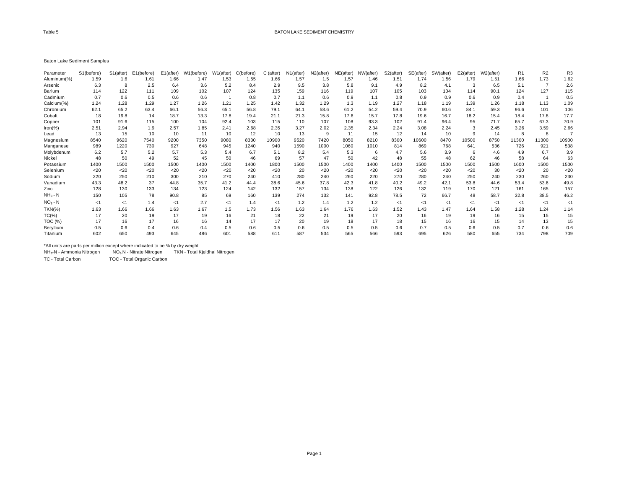#### Baton Lake Sediment Samples

| Parameter   | S1(before) | S1(after) | E1(before) | E1(after) | W1(before) | W1(after) | C(before) | C (after) | N1(after) | N2(after) | NE(after) | NW(after) | S2(after) | SE(after) | SW(after) | $E2$ (after) | W2(after) | R <sub>1</sub> | R <sub>2</sub> | R <sub>3</sub> |
|-------------|------------|-----------|------------|-----------|------------|-----------|-----------|-----------|-----------|-----------|-----------|-----------|-----------|-----------|-----------|--------------|-----------|----------------|----------------|----------------|
| Aluminum(%) | 1.59       | 1.6       | 1.61       | 1.66      | 1.47       | 1.53      | 1.55      | 1.66      | 1.57      | 1.5       | 1.57      | 1.46      | 1.51      | 1.74      | 1.56      | 1.79         | 1.51      | 1.66           | 1.73           | 1.62           |
| Arsenic     | 6.3        | 8         | 2.5        | 6.4       | 3.6        | 5.2       | 8.4       | 2.9       | 9.5       | 3.8       | 5.8       | 9.1       | 4.9       | 8.2       | 4.1       | 3            | 6.5       | 5.1            |                | 2.6            |
| Barium      | 114        | 122       | 111        | 109       | 102        | 107       | 124       | 135       | 159       | 116       | 119       | 107       | 105       | 103       | 104       | 114          | 90.1      | 124            | 127            | 115            |
| Cadmium     | 0.7        | 0.6       | 0.5        | 0.6       | 0.6        |           | 0.8       | 0.7       | 1.1       | 0.6       | 0.9       | 1.1       | 0.8       | 0.9       | 0.9       | 0.6          | 0.9       | 0.4            |                | 0.5            |
| Calcium(%)  | 1.24       | 1.28      | 1.29       | 1.27      | 1.26       | 1.21      | 1.25      | 1.42      | 1.32      | 1.29      | 1.3       | 1.19      | 1.27      | 1.18      | 1.19      | 1.39         | 1.26      | 1.18           | 1.13           | 1.09           |
| Chromium    | 62.1       | 65.2      | 63.4       | 66.1      | 56.3       | 65.1      | 56.8      | 79.1      | 64.1      | 58.6      | 61.2      | 54.2      | 59.4      | 70.9      | 60.6      | 84.1         | 59.3      | 96.6           | 101            | 106            |
| Cobalt      | 18         | 19.8      | 14         | 18.7      | 13.3       | 17.8      | 19.4      | 21.1      | 21.3      | 15.8      | 17.6      | 15.7      | 17.8      | 19.6      | 16.7      | 18.2         | 15.4      | 18.4           | 17.8           | 17.7           |
| Copper      | 101        | 91.6      | 115        | 100       | 104        | 92.4      | 103       | 115       | 110       | 107       | 108       | 93.3      | 102       | 91.4      | 96.4      | 95           | 71.7      | 65.7           | 67.3           | 70.9           |
| $Iron(\%)$  | 2.51       | 2.94      | 1.9        | 2.57      | 1.85       | 2.41      | 2.68      | 2.35      | 3.27      | 2.02      | 2.35      | 2.34      | 2.24      | 3.08      | 2.24      | 3            | 2.45      | 3.26           | 3.59           | 2.66           |
| Lead        | 13         | 15        | 10         | 10        | 11         | 10        | 12        | 10        | 13        | 9         | 11        | 15        | 12        | 14        | 10        | 9            | 14        | 8              |                |                |
| Magnesium   | 8540       | 9620      | 7540       | 9200      | 7350       | 9080      | 8330      | 10900     | 9520      | 7420      | 8050      | 8210      | 8300      | 10600     | 8470      | 10500        | 8750      | 11300          | 11300          | 10900          |
| Manganese   | 989        | 1220      | 730        | 927       | 648        | 945       | 1240      | 940       | 1590      | 1000      | 1060      | 1010      | 814       | 869       | 768       | 641          | 536       | 726            | 921            | 538            |
| Molybdenum  | 6.2        | 5.7       | 5.2        | 5.7       | 5.3        | 5.4       | 6.7       | 5.1       | 8.2       | 5.4       | 5.3       | 6         | 4.7       | 5.6       | 3.9       | -6           | 4.6       | 4.9            | 6.7            | 3.9            |
| Nickel      | 48         | 50        | 49         | 52        | 45         | 50        | 46        | 69        | 57        | 47        | 50        | 42        | 48        | 55        | 48        | 62           | 46        | 58             | 64             | 63             |
| Potassium   | 1400       | 1500      | 1500       | 1500      | 1400       | 1500      | 1400      | 1800      | 1500      | 1500      | 1400      | 1400      | 1400      | 1500      | 1500      | 1500         | 1500      | 1600           | 1500           | 1500           |
| Selenium    | $<$ 20     | $20$      | $<$ 20     | 20        | $20$       | $20$      | $<$ 20    | 20        | 20        | $20$      | $20$      | $20$      | $20$      | $<$ 20    | $20$      | $20$         | 30        | $20$           | 20             | $20$           |
| Sodium      | 220        | 250       | 210        | 300       | 210        | 270       | 240       | 410       | 280       | 240       | 260       | 220       | 270       | 280       | 240       | 250          | 240       | 230            | 260            | 230            |
| Vanadium    | 43.3       | 48.2      | 37         | 44.8      | 35.7       | 41.2      | 44.4      | 38.6      | 45.6      | 37.8      | 42.3      | 41.8      | 40.2      | 49.2      | 42.1      | 53.8         | 44.6      | 53.4           | 53.6           | 49.8           |
| Zinc        | 128        | 130       | 133        | 134       | 123        | 124       | 142       | 132       | 157       | 134       | 138       | 122       | 126       | 132       | 119       | 170          | 121       | 161            | 165            | 157            |
| $NH3 - N$   | 150        | 105       | 78         | 90.8      | 85         | 69        | 160       | 139       | 274       | 132       | 141       | 92.8      | 78.5      | 72        | 66.7      | 48           | 58.7      | 32.8           | 38.5           | 46.2           |
| $NO3 - N$   | <1         | -1        | 1.4        | ≺1        | 2.7        | $<$ 1     | 1.4       | < 1       | 1.2       | 1.4       | 1.2       | 1.2       | <1        | ا>        | < 1       | ≺1           | <1        | -≺1            | -1             | <1             |
| $TKN(\%)$   | 1.63       | 1.66      | 1.66       | 1.63      | 1.67       | 1.5       | 1.73      | 1.56      | 1.63      | 1.64      | 1.76      | 1.63      | 1.52      | 1.43      | 1.47      | 1.64         | 1.58      | 1.28           | 1.24           | 1.14           |
| $TC(\%)$    | 17         | 20        | 19         | 17        | 19         | 16        | 21        | 18        | 22        | 21        | 19        | 17        | 20        | 16        | 19        | 19           | 16        | 15             | 15             | 15             |
| TOC $(\%)$  | 17         | 16        | 17         | 16        | 16         | 14        |           |           | 20        | 19        | 18        | 17        | 18        | 15        | 16        | 16           | 15        | 14             | 13             | 15             |
| Beryllium   | 0.5        | 0.6       | 0.4        | 0.6       | 0.4        | 0.5       | 0.6       | 0.5       | 0.6       | 0.5       | 0.5       | 0.5       | 0.6       | 0.7       | 0.5       | 0.6          | 0.5       | 0.7            | 0.6            | 0.6            |
| Titanium    | 602        | 650       | 493        | 645       | 486        | 601       | 588       | 611       | 587       | 534       | 565       | 566       | 593       | 695       | 626       | 580          | 655       | 734            | 798            | 709            |

\*All units are parts per million except where indicated to be % by dry weight NH3-N - Ammonia Nitrogen NO3-N - Nitrate Nitrogen TKN - Total Kjeldhal Nitrogen

TC - Total Carbon TOC - Total Organic Carbon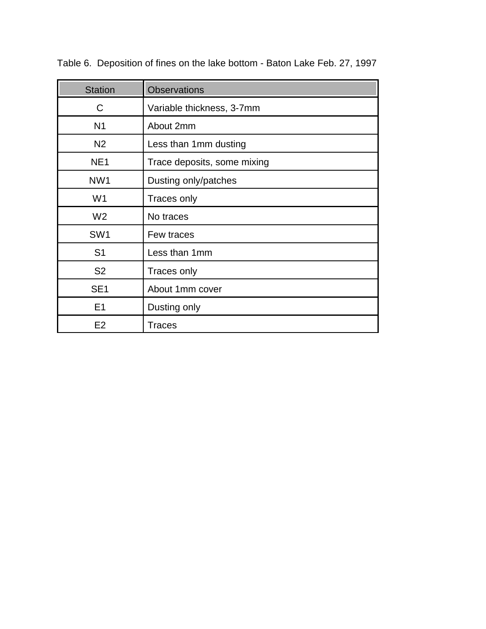| <b>Station</b>                          | <b>Observations</b>         |  |  |  |  |  |  |
|-----------------------------------------|-----------------------------|--|--|--|--|--|--|
| C                                       | Variable thickness, 3-7mm   |  |  |  |  |  |  |
| N <sub>1</sub>                          | About 2mm                   |  |  |  |  |  |  |
| N <sub>2</sub>                          | Less than 1mm dusting       |  |  |  |  |  |  |
| NE <sub>1</sub>                         | Trace deposits, some mixing |  |  |  |  |  |  |
| NW <sub>1</sub><br>Dusting only/patches |                             |  |  |  |  |  |  |
| W <sub>1</sub>                          | Traces only                 |  |  |  |  |  |  |
| W <sub>2</sub>                          | No traces                   |  |  |  |  |  |  |
| SW <sub>1</sub>                         | Few traces                  |  |  |  |  |  |  |
| S <sub>1</sub>                          | Less than 1mm               |  |  |  |  |  |  |
| S <sub>2</sub>                          | Traces only                 |  |  |  |  |  |  |
| SE <sub>1</sub>                         | About 1mm cover             |  |  |  |  |  |  |
| E <sub>1</sub>                          | Dusting only                |  |  |  |  |  |  |
| E <sub>2</sub>                          | Traces                      |  |  |  |  |  |  |

Table 6. Deposition of fines on the lake bottom - Baton Lake Feb. 27, 1997